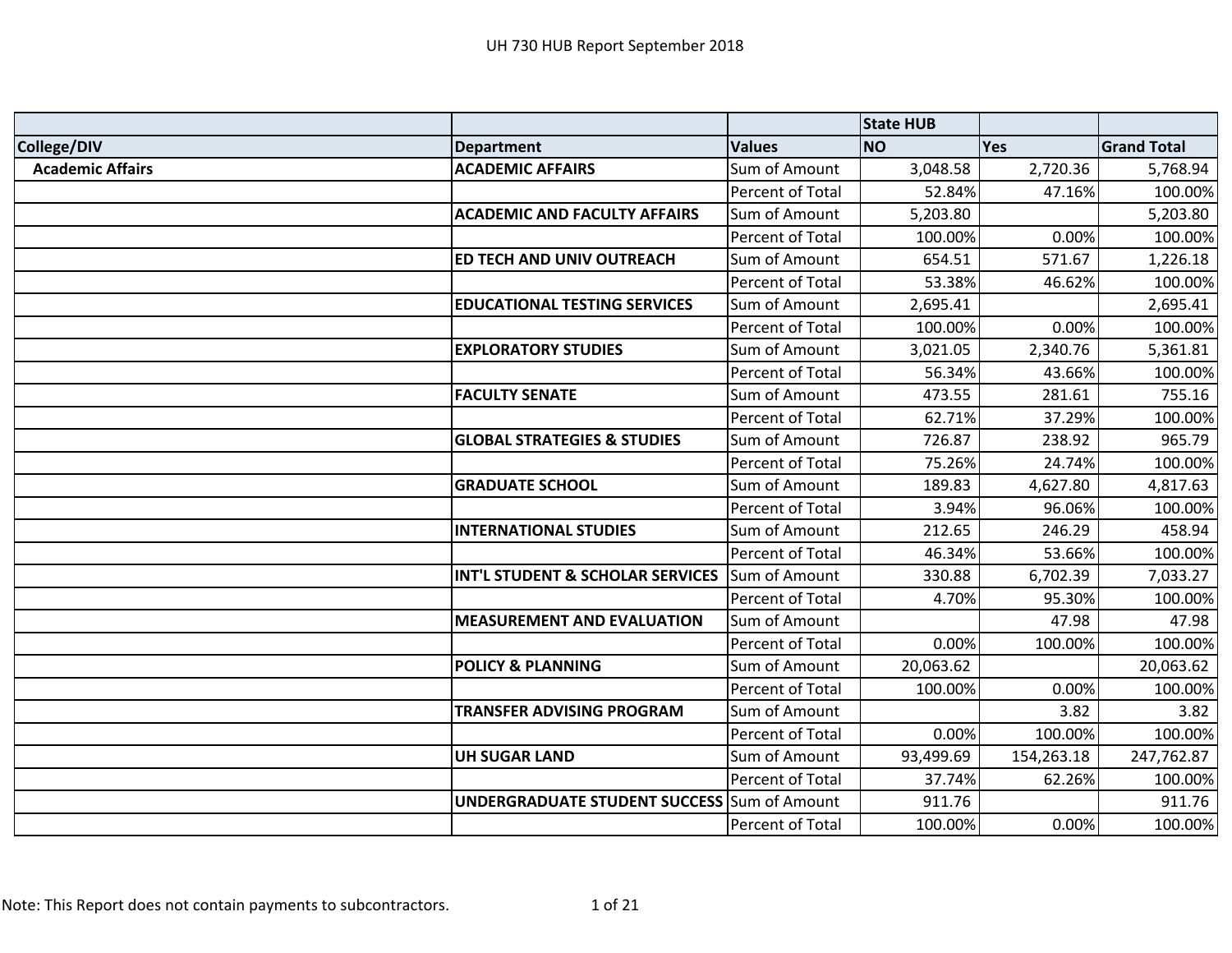|                         |                                        |                  | <b>State HUB</b> |            |                    |
|-------------------------|----------------------------------------|------------------|------------------|------------|--------------------|
| College/DIV             | <b>Department</b>                      | <b>Values</b>    | <b>NO</b>        | Yes        | <b>Grand Total</b> |
| <b>Academic Affairs</b> | <b>ACADEMIC AFFAIRS</b>                | Sum of Amount    | 3,048.58         | 2,720.36   | 5,768.94           |
|                         |                                        | Percent of Total | 52.84%           | 47.16%     | 100.00%            |
|                         | <b>ACADEMIC AND FACULTY AFFAIRS</b>    | Sum of Amount    | 5,203.80         |            | 5,203.80           |
|                         |                                        | Percent of Total | 100.00%          | 0.00%      | 100.00%            |
|                         | ED TECH AND UNIV OUTREACH              | Sum of Amount    | 654.51           | 571.67     | 1,226.18           |
|                         |                                        | Percent of Total | 53.38%           | 46.62%     | 100.00%            |
|                         | <b>EDUCATIONAL TESTING SERVICES</b>    | Sum of Amount    | 2,695.41         |            | 2,695.41           |
|                         |                                        | Percent of Total | 100.00%          | 0.00%      | 100.00%            |
|                         | <b>EXPLORATORY STUDIES</b>             | Sum of Amount    | 3,021.05         | 2,340.76   | 5,361.81           |
|                         |                                        | Percent of Total | 56.34%           | 43.66%     | 100.00%            |
|                         | <b>FACULTY SENATE</b>                  | Sum of Amount    | 473.55           | 281.61     | 755.16             |
|                         |                                        | Percent of Total | 62.71%           | 37.29%     | 100.00%            |
|                         | <b>GLOBAL STRATEGIES &amp; STUDIES</b> | Sum of Amount    | 726.87           | 238.92     | 965.79             |
|                         |                                        | Percent of Total | 75.26%           | 24.74%     | 100.00%            |
|                         | <b>GRADUATE SCHOOL</b>                 | Sum of Amount    | 189.83           | 4,627.80   | 4,817.63           |
|                         |                                        | Percent of Total | 3.94%            | 96.06%     | 100.00%            |
|                         | <b>INTERNATIONAL STUDIES</b>           | Sum of Amount    | 212.65           | 246.29     | 458.94             |
|                         |                                        | Percent of Total | 46.34%           | 53.66%     | 100.00%            |
|                         | INT'L STUDENT & SCHOLAR SERVICES       | Sum of Amount    | 330.88           | 6,702.39   | 7,033.27           |
|                         |                                        | Percent of Total | 4.70%            | 95.30%     | 100.00%            |
|                         | <b>MEASUREMENT AND EVALUATION</b>      | Sum of Amount    |                  | 47.98      | 47.98              |
|                         |                                        | Percent of Total | 0.00%            | 100.00%    | 100.00%            |
|                         | <b>POLICY &amp; PLANNING</b>           | Sum of Amount    | 20,063.62        |            | 20,063.62          |
|                         |                                        | Percent of Total | 100.00%          | 0.00%      | 100.00%            |
|                         | <b>TRANSFER ADVISING PROGRAM</b>       | Sum of Amount    |                  | 3.82       | 3.82               |
|                         |                                        | Percent of Total | 0.00%            | 100.00%    | 100.00%            |
|                         | <b>UH SUGAR LAND</b>                   | Sum of Amount    | 93,499.69        | 154,263.18 | 247,762.87         |
|                         |                                        | Percent of Total | 37.74%           | 62.26%     | 100.00%            |
|                         | <b>UNDERGRADUATE STUDENT SUCCESS</b>   | Sum of Amount    | 911.76           |            | 911.76             |
|                         |                                        | Percent of Total | 100.00%          | 0.00%      | 100.00%            |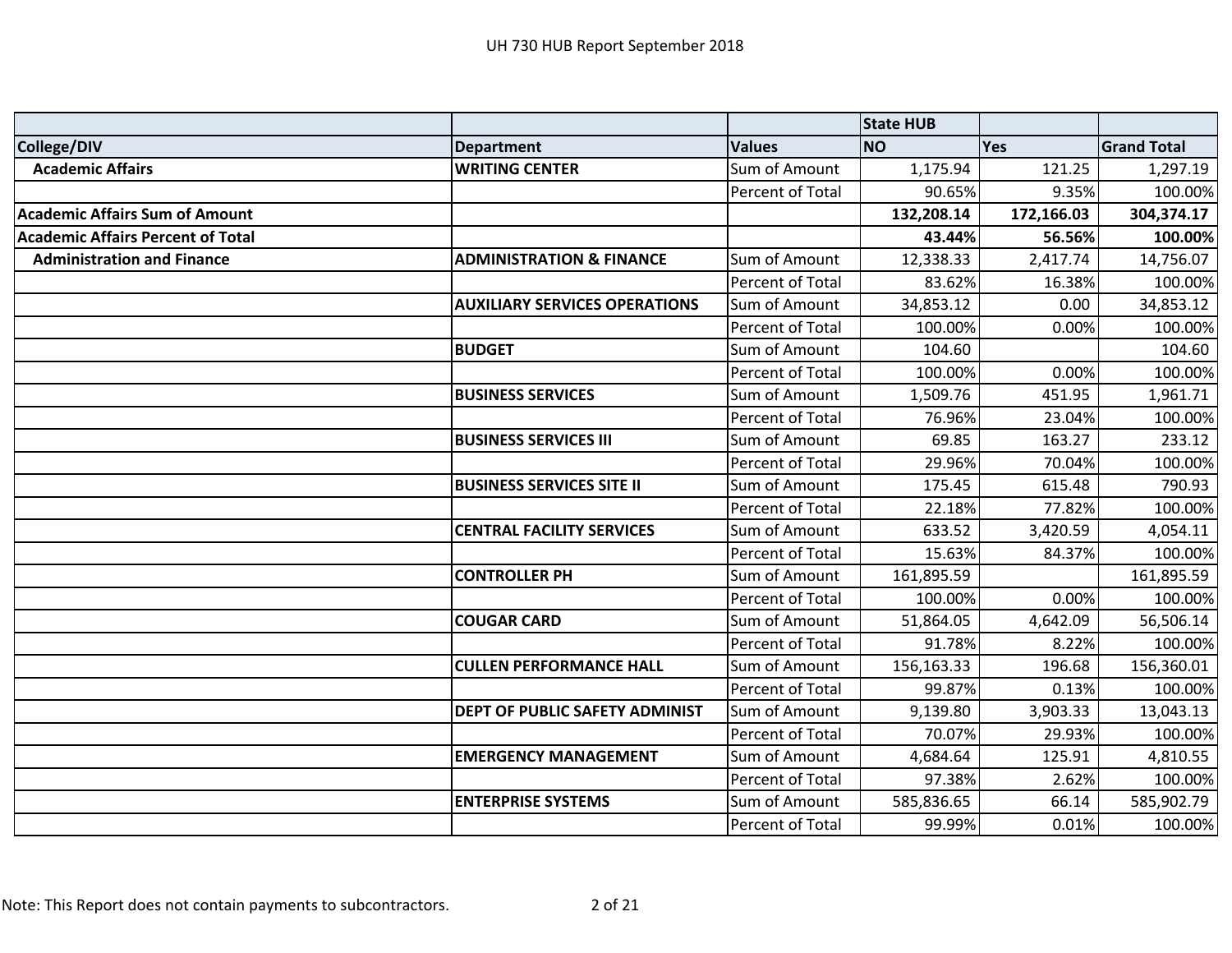|                                          |                                      |                  | <b>State HUB</b> |            |                    |
|------------------------------------------|--------------------------------------|------------------|------------------|------------|--------------------|
| College/DIV                              | <b>Department</b>                    | <b>Values</b>    | <b>NO</b>        | Yes        | <b>Grand Total</b> |
| <b>Academic Affairs</b>                  | <b>WRITING CENTER</b>                | Sum of Amount    | 1,175.94         | 121.25     | 1,297.19           |
|                                          |                                      | Percent of Total | 90.65%           | 9.35%      | 100.00%            |
| <b>Academic Affairs Sum of Amount</b>    |                                      |                  | 132,208.14       | 172,166.03 | 304,374.17         |
| <b>Academic Affairs Percent of Total</b> |                                      |                  | 43.44%           | 56.56%     | 100.00%            |
| <b>Administration and Finance</b>        | <b>ADMINISTRATION &amp; FINANCE</b>  | Sum of Amount    | 12,338.33        | 2,417.74   | 14,756.07          |
|                                          |                                      | Percent of Total | 83.62%           | 16.38%     | 100.00%            |
|                                          | <b>AUXILIARY SERVICES OPERATIONS</b> | Sum of Amount    | 34,853.12        | 0.00       | 34,853.12          |
|                                          |                                      | Percent of Total | 100.00%          | 0.00%      | 100.00%            |
|                                          | <b>BUDGET</b>                        | Sum of Amount    | 104.60           |            | 104.60             |
|                                          |                                      | Percent of Total | 100.00%          | 0.00%      | 100.00%            |
|                                          | <b>BUSINESS SERVICES</b>             | Sum of Amount    | 1,509.76         | 451.95     | 1,961.71           |
|                                          |                                      | Percent of Total | 76.96%           | 23.04%     | 100.00%            |
|                                          | <b>BUSINESS SERVICES III</b>         | Sum of Amount    | 69.85            | 163.27     | 233.12             |
|                                          |                                      | Percent of Total | 29.96%           | 70.04%     | 100.00%            |
|                                          | <b>BUSINESS SERVICES SITE II</b>     | Sum of Amount    | 175.45           | 615.48     | 790.93             |
|                                          |                                      | Percent of Total | 22.18%           | 77.82%     | 100.00%            |
|                                          | <b>CENTRAL FACILITY SERVICES</b>     | Sum of Amount    | 633.52           | 3,420.59   | 4,054.11           |
|                                          |                                      | Percent of Total | 15.63%           | 84.37%     | 100.00%            |
|                                          | <b>CONTROLLER PH</b>                 | Sum of Amount    | 161,895.59       |            | 161,895.59         |
|                                          |                                      | Percent of Total | 100.00%          | 0.00%      | 100.00%            |
|                                          | <b>COUGAR CARD</b>                   | Sum of Amount    | 51,864.05        | 4,642.09   | 56,506.14          |
|                                          |                                      | Percent of Total | 91.78%           | 8.22%      | 100.00%            |
|                                          | <b>CULLEN PERFORMANCE HALL</b>       | Sum of Amount    | 156,163.33       | 196.68     | 156,360.01         |
|                                          |                                      | Percent of Total | 99.87%           | 0.13%      | 100.00%            |
|                                          | DEPT OF PUBLIC SAFETY ADMINIST       | Sum of Amount    | 9,139.80         | 3,903.33   | 13,043.13          |
|                                          |                                      | Percent of Total | 70.07%           | 29.93%     | 100.00%            |
|                                          | <b>EMERGENCY MANAGEMENT</b>          | Sum of Amount    | 4,684.64         | 125.91     | 4,810.55           |
|                                          |                                      | Percent of Total | 97.38%           | 2.62%      | 100.00%            |
|                                          | <b>ENTERPRISE SYSTEMS</b>            | Sum of Amount    | 585,836.65       | 66.14      | 585,902.79         |
|                                          |                                      | Percent of Total | 99.99%           | 0.01%      | 100.00%            |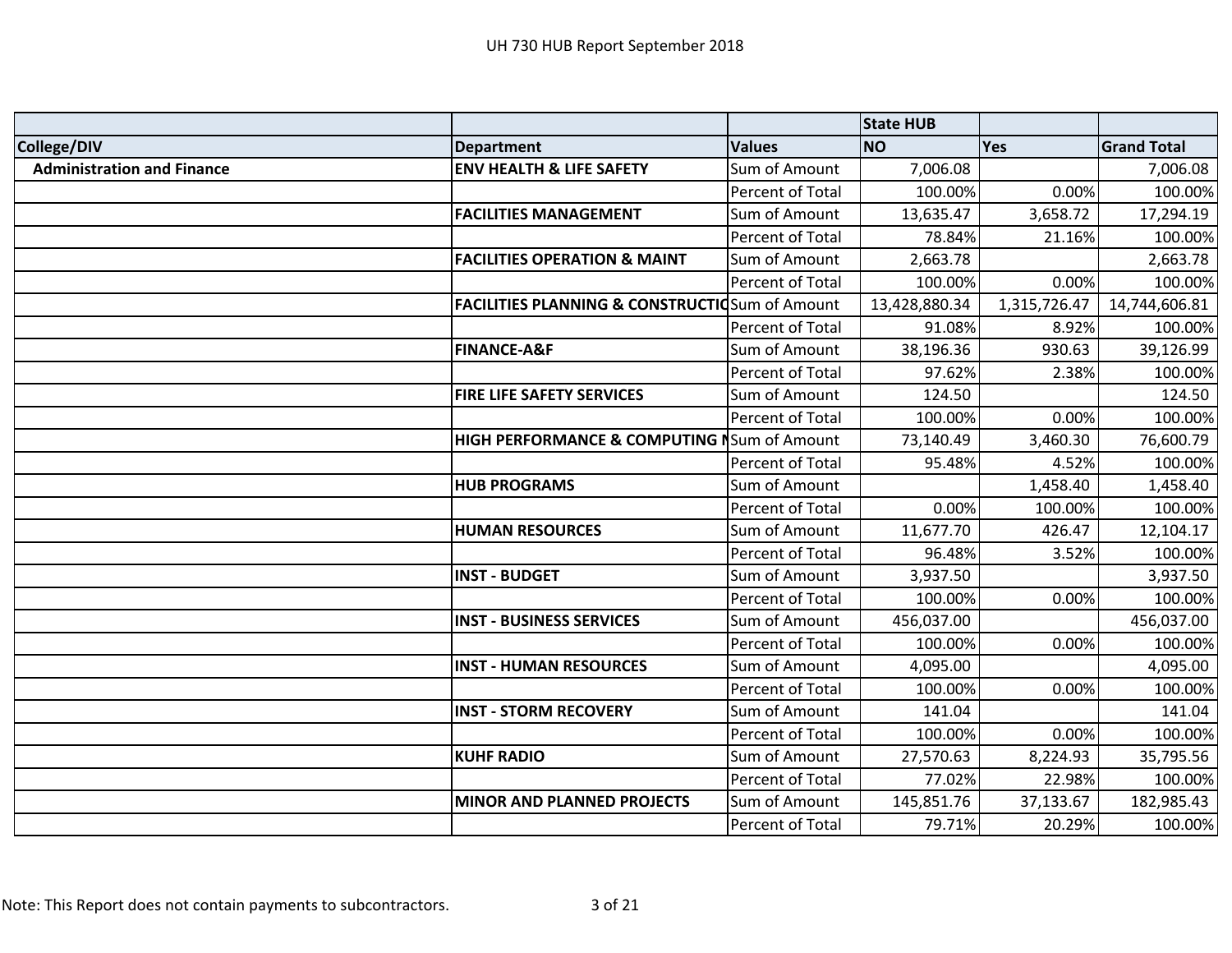|                                   |                                                            |                  | <b>State HUB</b> |              |                    |
|-----------------------------------|------------------------------------------------------------|------------------|------------------|--------------|--------------------|
| College/DIV                       | <b>Department</b>                                          | <b>Values</b>    | <b>NO</b>        | Yes          | <b>Grand Total</b> |
| <b>Administration and Finance</b> | <b>ENV HEALTH &amp; LIFE SAFETY</b>                        | Sum of Amount    | 7,006.08         |              | 7,006.08           |
|                                   |                                                            | Percent of Total | 100.00%          | 0.00%        | 100.00%            |
|                                   | <b>FACILITIES MANAGEMENT</b>                               | Sum of Amount    | 13,635.47        | 3,658.72     | 17,294.19          |
|                                   |                                                            | Percent of Total | 78.84%           | 21.16%       | 100.00%            |
|                                   | <b>FACILITIES OPERATION &amp; MAINT</b>                    | Sum of Amount    | 2,663.78         |              | 2,663.78           |
|                                   |                                                            | Percent of Total | 100.00%          | 0.00%        | 100.00%            |
|                                   | <b>FACILITIES PLANNING &amp; CONSTRUCTIO</b> Sum of Amount |                  | 13,428,880.34    | 1,315,726.47 | 14,744,606.81      |
|                                   |                                                            | Percent of Total | 91.08%           | 8.92%        | 100.00%            |
|                                   | <b>FINANCE-A&amp;F</b>                                     | Sum of Amount    | 38,196.36        | 930.63       | 39,126.99          |
|                                   |                                                            | Percent of Total | 97.62%           | 2.38%        | 100.00%            |
|                                   | <b>FIRE LIFE SAFETY SERVICES</b>                           | Sum of Amount    | 124.50           |              | 124.50             |
|                                   |                                                            | Percent of Total | 100.00%          | 0.00%        | 100.00%            |
|                                   | HIGH PERFORMANCE & COMPUTING NSum of Amount                |                  | 73,140.49        | 3,460.30     | 76,600.79          |
|                                   |                                                            | Percent of Total | 95.48%           | 4.52%        | 100.00%            |
|                                   | <b>HUB PROGRAMS</b>                                        | Sum of Amount    |                  | 1,458.40     | 1,458.40           |
|                                   |                                                            | Percent of Total | 0.00%            | 100.00%      | 100.00%            |
|                                   | <b>HUMAN RESOURCES</b>                                     | Sum of Amount    | 11,677.70        | 426.47       | 12,104.17          |
|                                   |                                                            | Percent of Total | 96.48%           | 3.52%        | 100.00%            |
|                                   | <b>INST - BUDGET</b>                                       | Sum of Amount    | 3,937.50         |              | 3,937.50           |
|                                   |                                                            | Percent of Total | 100.00%          | 0.00%        | 100.00%            |
|                                   | <b>INST - BUSINESS SERVICES</b>                            | Sum of Amount    | 456,037.00       |              | 456,037.00         |
|                                   |                                                            | Percent of Total | 100.00%          | 0.00%        | 100.00%            |
|                                   | <b>INST - HUMAN RESOURCES</b>                              | Sum of Amount    | 4,095.00         |              | 4,095.00           |
|                                   |                                                            | Percent of Total | 100.00%          | 0.00%        | 100.00%            |
|                                   | <b>INST - STORM RECOVERY</b>                               | Sum of Amount    | 141.04           |              | 141.04             |
|                                   |                                                            | Percent of Total | 100.00%          | 0.00%        | 100.00%            |
|                                   | <b>KUHF RADIO</b>                                          | Sum of Amount    | 27,570.63        | 8,224.93     | 35,795.56          |
|                                   |                                                            | Percent of Total | 77.02%           | 22.98%       | 100.00%            |
|                                   | <b>MINOR AND PLANNED PROJECTS</b>                          | Sum of Amount    | 145,851.76       | 37,133.67    | 182,985.43         |
|                                   |                                                            | Percent of Total | 79.71%           | 20.29%       | 100.00%            |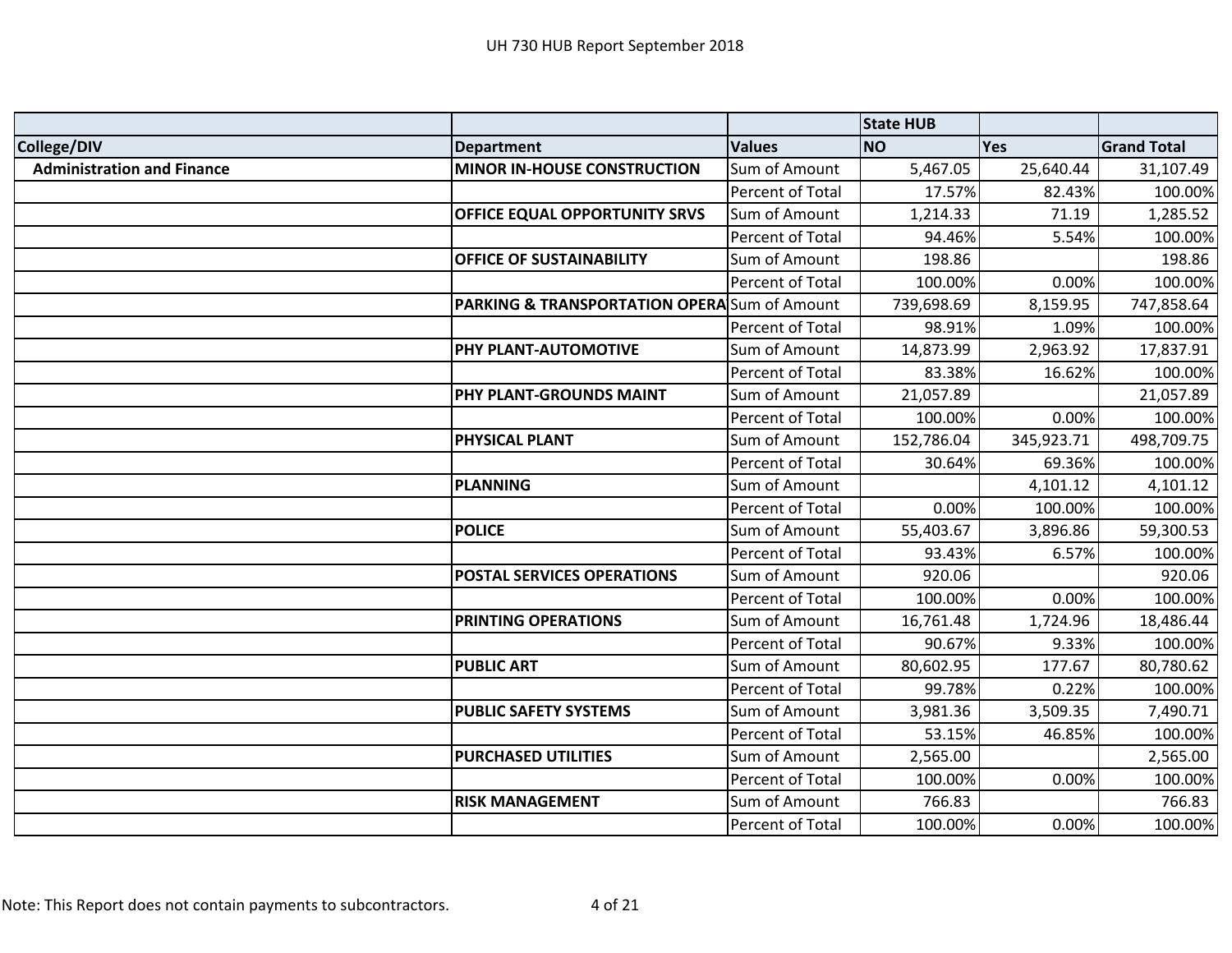|                                   |                                                         |                  | <b>State HUB</b> |            |                    |
|-----------------------------------|---------------------------------------------------------|------------------|------------------|------------|--------------------|
| College/DIV                       | <b>Department</b>                                       | <b>Values</b>    | <b>NO</b>        | <b>Yes</b> | <b>Grand Total</b> |
| <b>Administration and Finance</b> | <b>MINOR IN-HOUSE CONSTRUCTION</b>                      | Sum of Amount    | 5,467.05         | 25,640.44  | 31,107.49          |
|                                   |                                                         | Percent of Total | 17.57%           | 82.43%     | 100.00%            |
|                                   | OFFICE EQUAL OPPORTUNITY SRVS                           | Sum of Amount    | 1,214.33         | 71.19      | 1,285.52           |
|                                   |                                                         | Percent of Total | 94.46%           | 5.54%      | 100.00%            |
|                                   | <b>OFFICE OF SUSTAINABILITY</b>                         | Sum of Amount    | 198.86           |            | 198.86             |
|                                   |                                                         | Percent of Total | 100.00%          | 0.00%      | 100.00%            |
|                                   | <b>PARKING &amp; TRANSPORTATION OPERA</b> Sum of Amount |                  | 739,698.69       | 8,159.95   | 747,858.64         |
|                                   |                                                         | Percent of Total | 98.91%           | 1.09%      | 100.00%            |
|                                   | PHY PLANT-AUTOMOTIVE                                    | Sum of Amount    | 14,873.99        | 2,963.92   | 17,837.91          |
|                                   |                                                         | Percent of Total | 83.38%           | 16.62%     | 100.00%            |
|                                   | PHY PLANT-GROUNDS MAINT                                 | Sum of Amount    | 21,057.89        |            | 21,057.89          |
|                                   |                                                         | Percent of Total | 100.00%          | 0.00%      | 100.00%            |
|                                   | PHYSICAL PLANT                                          | Sum of Amount    | 152,786.04       | 345,923.71 | 498,709.75         |
|                                   |                                                         | Percent of Total | 30.64%           | 69.36%     | 100.00%            |
|                                   | <b>PLANNING</b>                                         | Sum of Amount    |                  | 4,101.12   | 4,101.12           |
|                                   |                                                         | Percent of Total | 0.00%            | 100.00%    | 100.00%            |
|                                   | <b>POLICE</b>                                           | Sum of Amount    | 55,403.67        | 3,896.86   | 59,300.53          |
|                                   |                                                         | Percent of Total | 93.43%           | 6.57%      | 100.00%            |
|                                   | <b>POSTAL SERVICES OPERATIONS</b>                       | Sum of Amount    | 920.06           |            | 920.06             |
|                                   |                                                         | Percent of Total | 100.00%          | 0.00%      | 100.00%            |
|                                   | PRINTING OPERATIONS                                     | Sum of Amount    | 16,761.48        | 1,724.96   | 18,486.44          |
|                                   |                                                         | Percent of Total | 90.67%           | 9.33%      | 100.00%            |
|                                   | <b>PUBLIC ART</b>                                       | Sum of Amount    | 80,602.95        | 177.67     | 80,780.62          |
|                                   |                                                         | Percent of Total | 99.78%           | 0.22%      | 100.00%            |
|                                   | <b>PUBLIC SAFETY SYSTEMS</b>                            | Sum of Amount    | 3,981.36         | 3,509.35   | 7,490.71           |
|                                   |                                                         | Percent of Total | 53.15%           | 46.85%     | 100.00%            |
|                                   | <b>PURCHASED UTILITIES</b>                              | Sum of Amount    | 2,565.00         |            | 2,565.00           |
|                                   |                                                         | Percent of Total | 100.00%          | 0.00%      | 100.00%            |
|                                   | <b>RISK MANAGEMENT</b>                                  | Sum of Amount    | 766.83           |            | 766.83             |
|                                   |                                                         | Percent of Total | 100.00%          | 0.00%      | 100.00%            |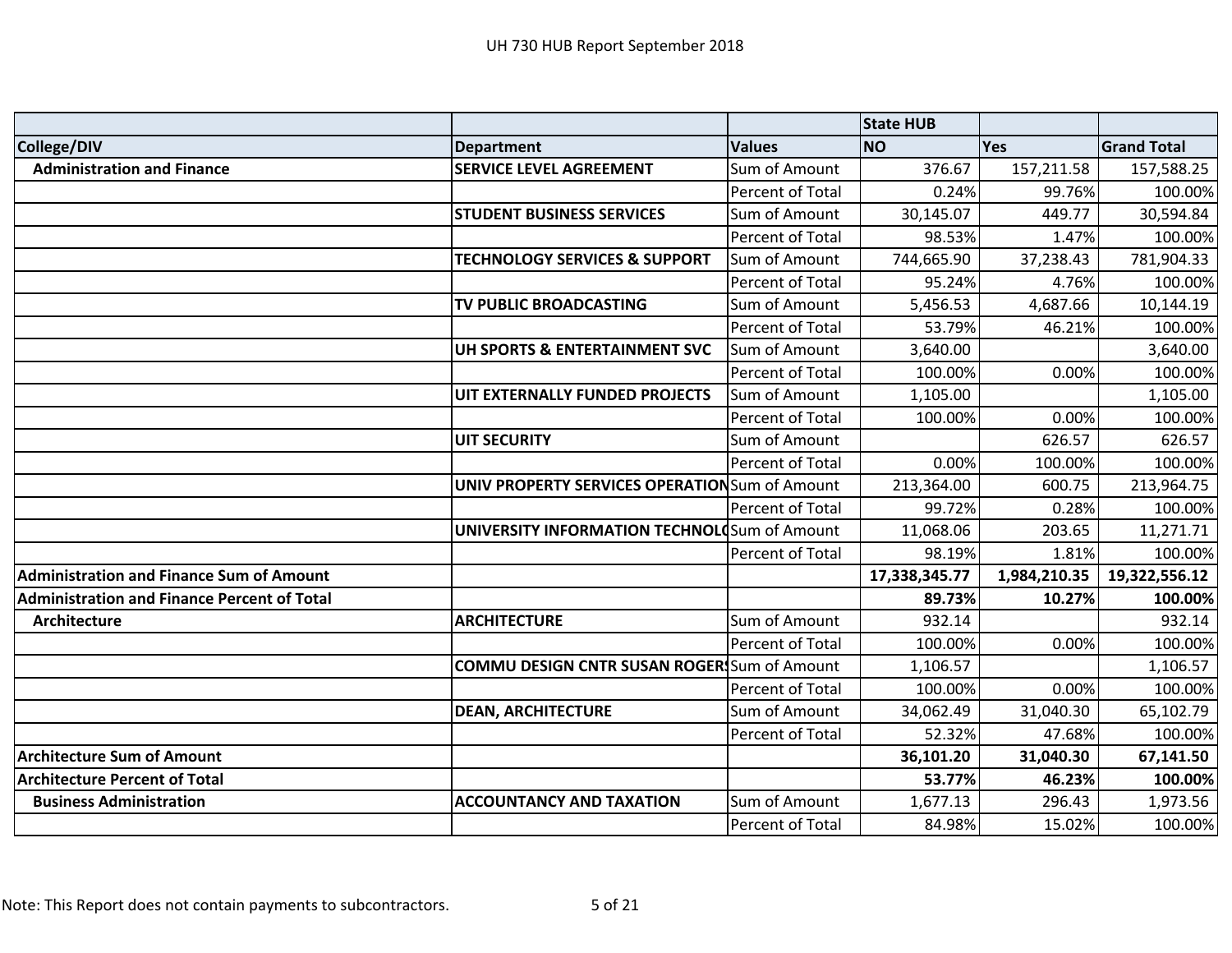|                                                    |                                                       |                  | <b>State HUB</b> |              |                    |
|----------------------------------------------------|-------------------------------------------------------|------------------|------------------|--------------|--------------------|
| College/DIV                                        | <b>Department</b>                                     | <b>Values</b>    | <b>NO</b>        | Yes          | <b>Grand Total</b> |
| <b>Administration and Finance</b>                  | <b>SERVICE LEVEL AGREEMENT</b>                        | Sum of Amount    | 376.67           | 157,211.58   | 157,588.25         |
|                                                    |                                                       | Percent of Total | 0.24%            | 99.76%       | 100.00%            |
|                                                    | <b>STUDENT BUSINESS SERVICES</b>                      | Sum of Amount    | 30,145.07        | 449.77       | 30,594.84          |
|                                                    |                                                       | Percent of Total | 98.53%           | 1.47%        | 100.00%            |
|                                                    | <b>TECHNOLOGY SERVICES &amp; SUPPORT</b>              | Sum of Amount    | 744,665.90       | 37,238.43    | 781,904.33         |
|                                                    |                                                       | Percent of Total | 95.24%           | 4.76%        | 100.00%            |
|                                                    | TV PUBLIC BROADCASTING                                | Sum of Amount    | 5,456.53         | 4,687.66     | 10,144.19          |
|                                                    |                                                       | Percent of Total | 53.79%           | 46.21%       | 100.00%            |
|                                                    | UH SPORTS & ENTERTAINMENT SVC                         | Sum of Amount    | 3,640.00         |              | 3,640.00           |
|                                                    |                                                       | Percent of Total | 100.00%          | 0.00%        | 100.00%            |
|                                                    | UIT EXTERNALLY FUNDED PROJECTS                        | Sum of Amount    | 1,105.00         |              | 1,105.00           |
|                                                    |                                                       | Percent of Total | 100.00%          | 0.00%        | 100.00%            |
|                                                    | <b>UIT SECURITY</b>                                   | Sum of Amount    |                  | 626.57       | 626.57             |
|                                                    |                                                       | Percent of Total | 0.00%            | 100.00%      | 100.00%            |
|                                                    | <b>UNIV PROPERTY SERVICES OPERATION</b> Sum of Amount |                  | 213,364.00       | 600.75       | 213,964.75         |
|                                                    |                                                       | Percent of Total | 99.72%           | 0.28%        | 100.00%            |
|                                                    | <b>UNIVERSITY INFORMATION TECHNOLO</b> Sum of Amount  |                  | 11,068.06        | 203.65       | 11,271.71          |
|                                                    |                                                       | Percent of Total | 98.19%           | 1.81%        | 100.00%            |
| <b>Administration and Finance Sum of Amount</b>    |                                                       |                  | 17,338,345.77    | 1,984,210.35 | 19,322,556.12      |
| <b>Administration and Finance Percent of Total</b> |                                                       |                  | 89.73%           | 10.27%       | 100.00%            |
| <b>Architecture</b>                                | <b>ARCHITECTURE</b>                                   | Sum of Amount    | 932.14           |              | 932.14             |
|                                                    |                                                       | Percent of Total | 100.00%          | 0.00%        | 100.00%            |
|                                                    | <b>COMMU DESIGN CNTR SUSAN ROGER</b> Sum of Amount    |                  | 1,106.57         |              | 1,106.57           |
|                                                    |                                                       | Percent of Total | 100.00%          | 0.00%        | 100.00%            |
|                                                    | <b>DEAN, ARCHITECTURE</b>                             | Sum of Amount    | 34,062.49        | 31,040.30    | 65,102.79          |
|                                                    |                                                       | Percent of Total | 52.32%           | 47.68%       | 100.00%            |
| <b>Architecture Sum of Amount</b>                  |                                                       |                  | 36,101.20        | 31,040.30    | 67,141.50          |
| <b>Architecture Percent of Total</b>               |                                                       |                  | 53.77%           | 46.23%       | 100.00%            |
| <b>Business Administration</b>                     | <b>ACCOUNTANCY AND TAXATION</b>                       | Sum of Amount    | 1,677.13         | 296.43       | 1,973.56           |
|                                                    |                                                       | Percent of Total | 84.98%           | 15.02%       | 100.00%            |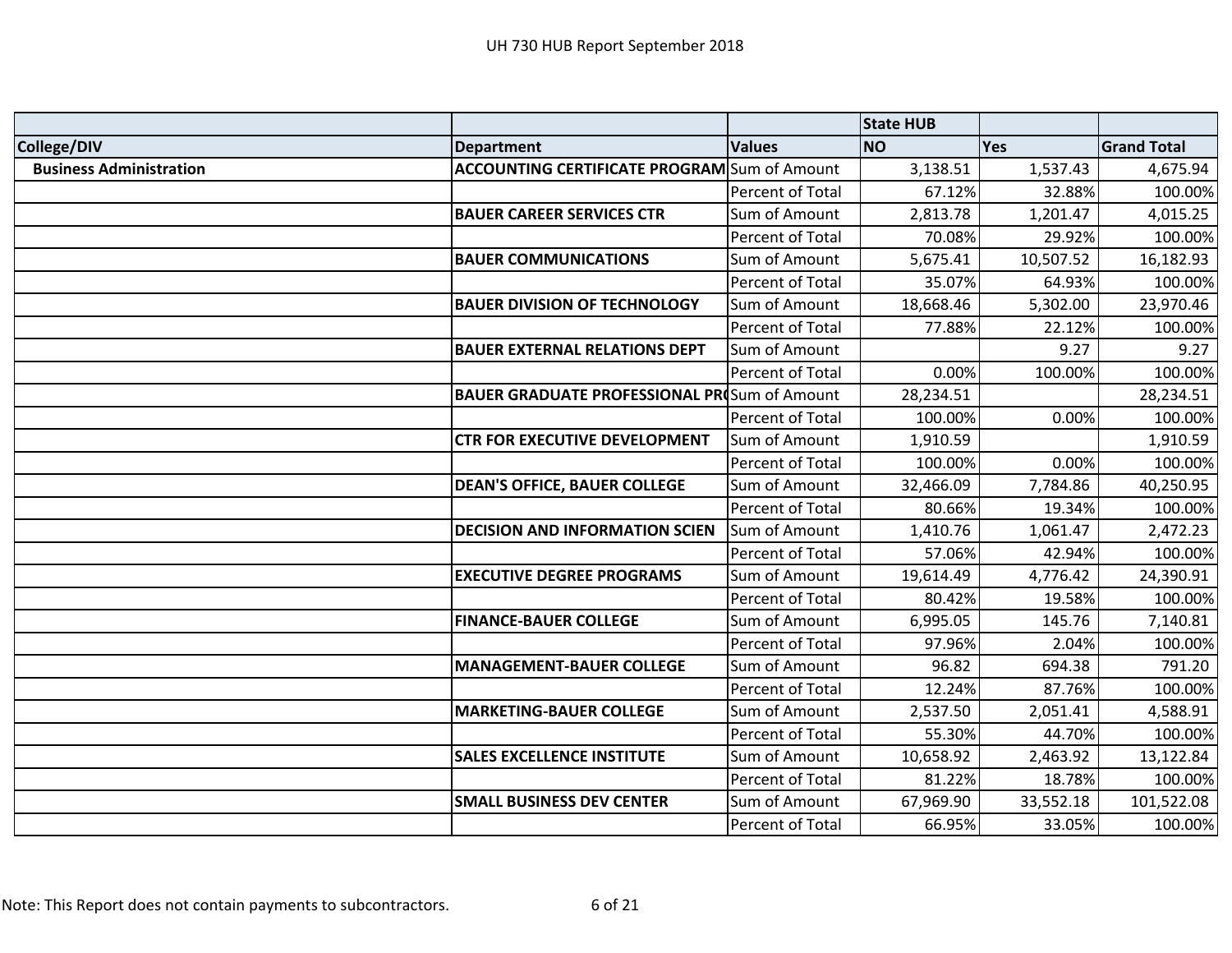|                                |                                                     |                  | <b>State HUB</b> |            |                    |
|--------------------------------|-----------------------------------------------------|------------------|------------------|------------|--------------------|
| College/DIV                    | <b>Department</b>                                   | <b>Values</b>    | <b>NO</b>        | <b>Yes</b> | <b>Grand Total</b> |
| <b>Business Administration</b> | <b>ACCOUNTING CERTIFICATE PROGRAM</b> Sum of Amount |                  | 3,138.51         | 1,537.43   | 4,675.94           |
|                                |                                                     | Percent of Total | 67.12%           | 32.88%     | 100.00%            |
|                                | <b>BAUER CAREER SERVICES CTR</b>                    | Sum of Amount    | 2,813.78         | 1,201.47   | 4,015.25           |
|                                |                                                     | Percent of Total | 70.08%           | 29.92%     | 100.00%            |
|                                | <b>BAUER COMMUNICATIONS</b>                         | Sum of Amount    | 5,675.41         | 10,507.52  | 16,182.93          |
|                                |                                                     | Percent of Total | 35.07%           | 64.93%     | 100.00%            |
|                                | <b>BAUER DIVISION OF TECHNOLOGY</b>                 | Sum of Amount    | 18,668.46        | 5,302.00   | 23,970.46          |
|                                |                                                     | Percent of Total | 77.88%           | 22.12%     | 100.00%            |
|                                | <b>BAUER EXTERNAL RELATIONS DEPT</b>                | Sum of Amount    |                  | 9.27       | 9.27               |
|                                |                                                     | Percent of Total | 0.00%            | 100.00%    | 100.00%            |
|                                | <b>BAUER GRADUATE PROFESSIONAL PR(Sum of Amount</b> |                  | 28,234.51        |            | 28,234.51          |
|                                |                                                     | Percent of Total | 100.00%          | 0.00%      | 100.00%            |
|                                | <b>CTR FOR EXECUTIVE DEVELOPMENT</b>                | Sum of Amount    | 1,910.59         |            | 1,910.59           |
|                                |                                                     | Percent of Total | 100.00%          | 0.00%      | 100.00%            |
|                                | <b>DEAN'S OFFICE, BAUER COLLEGE</b>                 | Sum of Amount    | 32,466.09        | 7,784.86   | 40,250.95          |
|                                |                                                     | Percent of Total | 80.66%           | 19.34%     | 100.00%            |
|                                | <b>DECISION AND INFORMATION SCIEN</b>               | Sum of Amount    | 1,410.76         | 1,061.47   | 2,472.23           |
|                                |                                                     | Percent of Total | 57.06%           | 42.94%     | 100.00%            |
|                                | <b>EXECUTIVE DEGREE PROGRAMS</b>                    | Sum of Amount    | 19,614.49        | 4,776.42   | 24,390.91          |
|                                |                                                     | Percent of Total | 80.42%           | 19.58%     | 100.00%            |
|                                | <b>FINANCE-BAUER COLLEGE</b>                        | Sum of Amount    | 6,995.05         | 145.76     | 7,140.81           |
|                                |                                                     | Percent of Total | 97.96%           | 2.04%      | 100.00%            |
|                                | <b>MANAGEMENT-BAUER COLLEGE</b>                     | Sum of Amount    | 96.82            | 694.38     | 791.20             |
|                                |                                                     | Percent of Total | 12.24%           | 87.76%     | 100.00%            |
|                                | <b>MARKETING-BAUER COLLEGE</b>                      | Sum of Amount    | 2,537.50         | 2,051.41   | 4,588.91           |
|                                |                                                     | Percent of Total | 55.30%           | 44.70%     | 100.00%            |
|                                | <b>SALES EXCELLENCE INSTITUTE</b>                   | Sum of Amount    | 10,658.92        | 2,463.92   | 13,122.84          |
|                                |                                                     | Percent of Total | 81.22%           | 18.78%     | 100.00%            |
|                                | <b>SMALL BUSINESS DEV CENTER</b>                    | Sum of Amount    | 67,969.90        | 33,552.18  | 101,522.08         |
|                                |                                                     | Percent of Total | 66.95%           | 33.05%     | 100.00%            |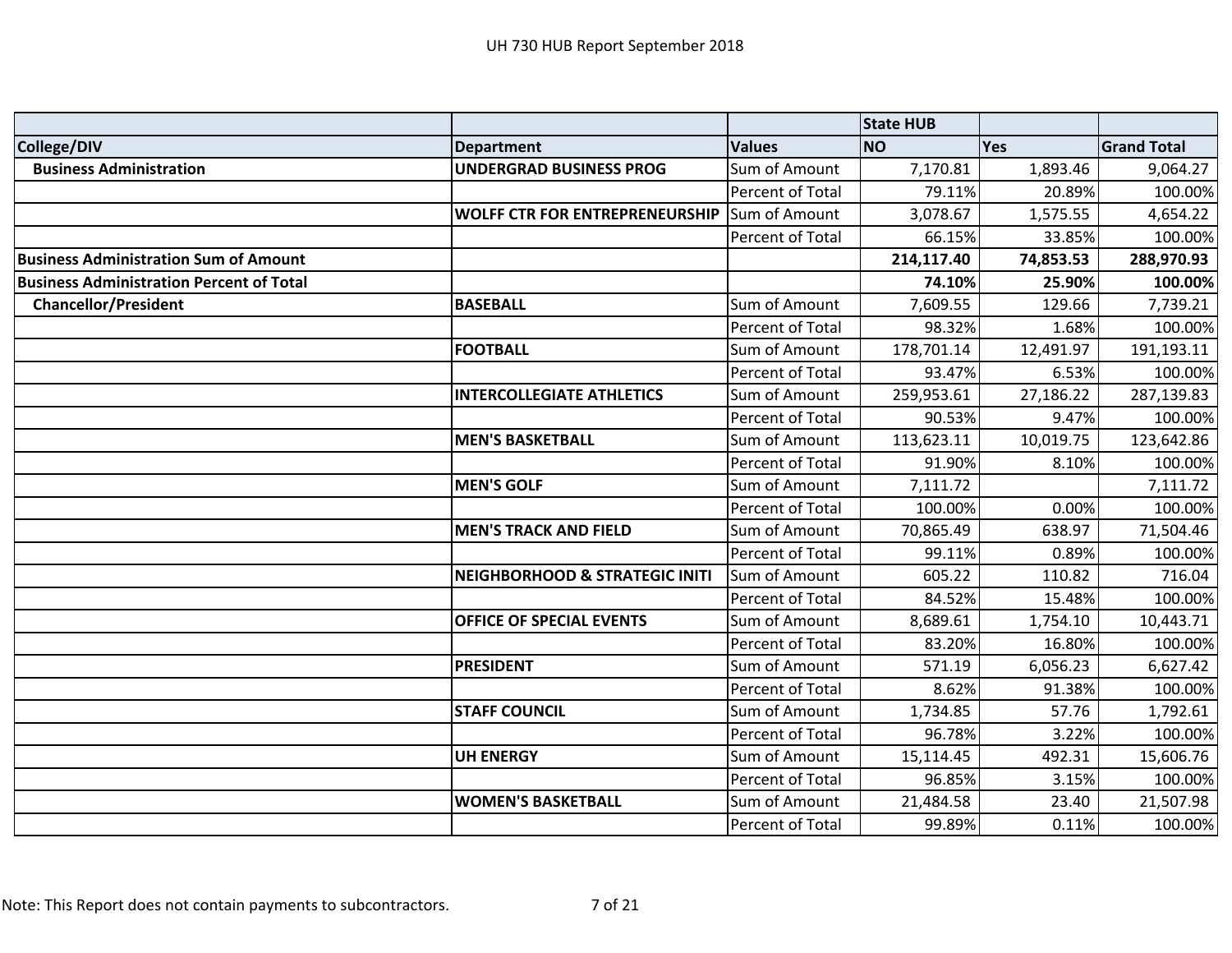|                                                 |                                           |                  | <b>State HUB</b> |           |                    |
|-------------------------------------------------|-------------------------------------------|------------------|------------------|-----------|--------------------|
| College/DIV                                     | <b>Department</b>                         | <b>Values</b>    | <b>NO</b>        | Yes       | <b>Grand Total</b> |
| <b>Business Administration</b>                  | <b>UNDERGRAD BUSINESS PROG</b>            | Sum of Amount    | 7,170.81         | 1,893.46  | 9,064.27           |
|                                                 |                                           | Percent of Total | 79.11%           | 20.89%    | 100.00%            |
|                                                 | <b>WOLFF CTR FOR ENTREPRENEURSHIP</b>     | Sum of Amount    | 3,078.67         | 1,575.55  | 4,654.22           |
|                                                 |                                           | Percent of Total | 66.15%           | 33.85%    | 100.00%            |
| <b>Business Administration Sum of Amount</b>    |                                           |                  | 214,117.40       | 74,853.53 | 288,970.93         |
| <b>Business Administration Percent of Total</b> |                                           |                  | 74.10%           | 25.90%    | 100.00%            |
| <b>Chancellor/President</b>                     | <b>BASEBALL</b>                           | Sum of Amount    | 7,609.55         | 129.66    | 7,739.21           |
|                                                 |                                           | Percent of Total | 98.32%           | 1.68%     | 100.00%            |
|                                                 | <b>FOOTBALL</b>                           | Sum of Amount    | 178,701.14       | 12,491.97 | 191,193.11         |
|                                                 |                                           | Percent of Total | 93.47%           | 6.53%     | 100.00%            |
|                                                 | <b>INTERCOLLEGIATE ATHLETICS</b>          | Sum of Amount    | 259,953.61       | 27,186.22 | 287,139.83         |
|                                                 |                                           | Percent of Total | 90.53%           | 9.47%     | 100.00%            |
|                                                 | <b>MEN'S BASKETBALL</b>                   | Sum of Amount    | 113,623.11       | 10,019.75 | 123,642.86         |
|                                                 |                                           | Percent of Total | 91.90%           | 8.10%     | 100.00%            |
|                                                 | <b>MEN'S GOLF</b>                         | Sum of Amount    | 7,111.72         |           | 7,111.72           |
|                                                 |                                           | Percent of Total | 100.00%          | 0.00%     | 100.00%            |
|                                                 | <b>MEN'S TRACK AND FIELD</b>              | Sum of Amount    | 70,865.49        | 638.97    | 71,504.46          |
|                                                 |                                           | Percent of Total | 99.11%           | 0.89%     | 100.00%            |
|                                                 | <b>NEIGHBORHOOD &amp; STRATEGIC INITI</b> | Sum of Amount    | 605.22           | 110.82    | 716.04             |
|                                                 |                                           | Percent of Total | 84.52%           | 15.48%    | 100.00%            |
|                                                 | <b>OFFICE OF SPECIAL EVENTS</b>           | Sum of Amount    | 8,689.61         | 1,754.10  | 10,443.71          |
|                                                 |                                           | Percent of Total | 83.20%           | 16.80%    | 100.00%            |
|                                                 | <b>PRESIDENT</b>                          | Sum of Amount    | 571.19           | 6,056.23  | 6,627.42           |
|                                                 |                                           | Percent of Total | 8.62%            | 91.38%    | 100.00%            |
|                                                 | <b>STAFF COUNCIL</b>                      | Sum of Amount    | 1,734.85         | 57.76     | 1,792.61           |
|                                                 |                                           | Percent of Total | 96.78%           | 3.22%     | 100.00%            |
|                                                 | <b>UH ENERGY</b>                          | Sum of Amount    | 15,114.45        | 492.31    | 15,606.76          |
|                                                 |                                           | Percent of Total | 96.85%           | 3.15%     | 100.00%            |
|                                                 | <b>WOMEN'S BASKETBALL</b>                 | Sum of Amount    | 21,484.58        | 23.40     | 21,507.98          |
|                                                 |                                           | Percent of Total | 99.89%           | 0.11%     | 100.00%            |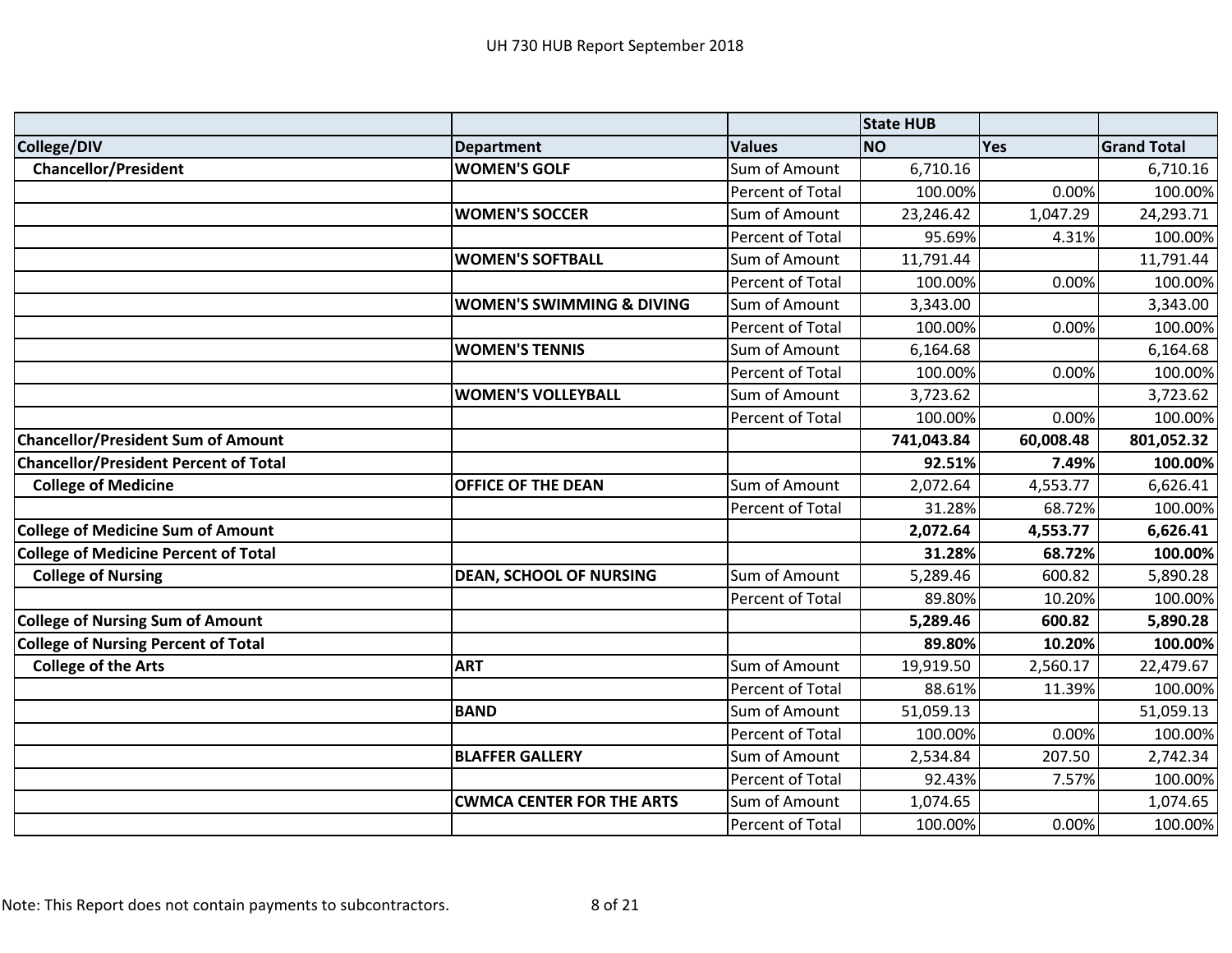|                                              |                                      |                         | <b>State HUB</b> |           |                    |
|----------------------------------------------|--------------------------------------|-------------------------|------------------|-----------|--------------------|
| College/DIV                                  | <b>Department</b>                    | <b>Values</b>           | <b>NO</b>        | Yes       | <b>Grand Total</b> |
| <b>Chancellor/President</b>                  | <b>WOMEN'S GOLF</b>                  | Sum of Amount           | 6,710.16         |           | 6,710.16           |
|                                              |                                      | <b>Percent of Total</b> | 100.00%          | 0.00%     | 100.00%            |
|                                              | <b>WOMEN'S SOCCER</b>                | Sum of Amount           | 23,246.42        | 1,047.29  | 24,293.71          |
|                                              |                                      | Percent of Total        | 95.69%           | 4.31%     | 100.00%            |
|                                              | <b>WOMEN'S SOFTBALL</b>              | Sum of Amount           | 11,791.44        |           | 11,791.44          |
|                                              |                                      | Percent of Total        | 100.00%          | 0.00%     | 100.00%            |
|                                              | <b>WOMEN'S SWIMMING &amp; DIVING</b> | Sum of Amount           | 3,343.00         |           | 3,343.00           |
|                                              |                                      | Percent of Total        | 100.00%          | 0.00%     | 100.00%            |
|                                              | <b>WOMEN'S TENNIS</b>                | Sum of Amount           | 6,164.68         |           | 6,164.68           |
|                                              |                                      | Percent of Total        | 100.00%          | 0.00%     | 100.00%            |
|                                              | <b>WOMEN'S VOLLEYBALL</b>            | Sum of Amount           | 3,723.62         |           | 3,723.62           |
|                                              |                                      | Percent of Total        | 100.00%          | 0.00%     | 100.00%            |
| <b>Chancellor/President Sum of Amount</b>    |                                      |                         | 741,043.84       | 60,008.48 | 801,052.32         |
| <b>Chancellor/President Percent of Total</b> |                                      |                         | 92.51%           | 7.49%     | 100.00%            |
| <b>College of Medicine</b>                   | <b>OFFICE OF THE DEAN</b>            | Sum of Amount           | 2,072.64         | 4,553.77  | 6,626.41           |
|                                              |                                      | <b>Percent of Total</b> | 31.28%           | 68.72%    | 100.00%            |
| <b>College of Medicine Sum of Amount</b>     |                                      |                         | 2,072.64         | 4,553.77  | 6,626.41           |
| <b>College of Medicine Percent of Total</b>  |                                      |                         | 31.28%           | 68.72%    | 100.00%            |
| <b>College of Nursing</b>                    | <b>DEAN, SCHOOL OF NURSING</b>       | Sum of Amount           | 5,289.46         | 600.82    | 5,890.28           |
|                                              |                                      | Percent of Total        | 89.80%           | 10.20%    | 100.00%            |
| <b>College of Nursing Sum of Amount</b>      |                                      |                         | 5,289.46         | 600.82    | 5,890.28           |
| <b>College of Nursing Percent of Total</b>   |                                      |                         | 89.80%           | 10.20%    | 100.00%            |
| <b>College of the Arts</b>                   | <b>ART</b>                           | Sum of Amount           | 19,919.50        | 2,560.17  | 22,479.67          |
|                                              |                                      | Percent of Total        | 88.61%           | 11.39%    | 100.00%            |
|                                              | <b>BAND</b>                          | Sum of Amount           | 51,059.13        |           | 51,059.13          |
|                                              |                                      | Percent of Total        | 100.00%          | 0.00%     | 100.00%            |
|                                              | <b>BLAFFER GALLERY</b>               | Sum of Amount           | 2,534.84         | 207.50    | 2,742.34           |
|                                              |                                      | <b>Percent of Total</b> | 92.43%           | 7.57%     | 100.00%            |
|                                              | <b>CWMCA CENTER FOR THE ARTS</b>     | Sum of Amount           | 1,074.65         |           | 1,074.65           |
|                                              |                                      | Percent of Total        | 100.00%          | 0.00%     | 100.00%            |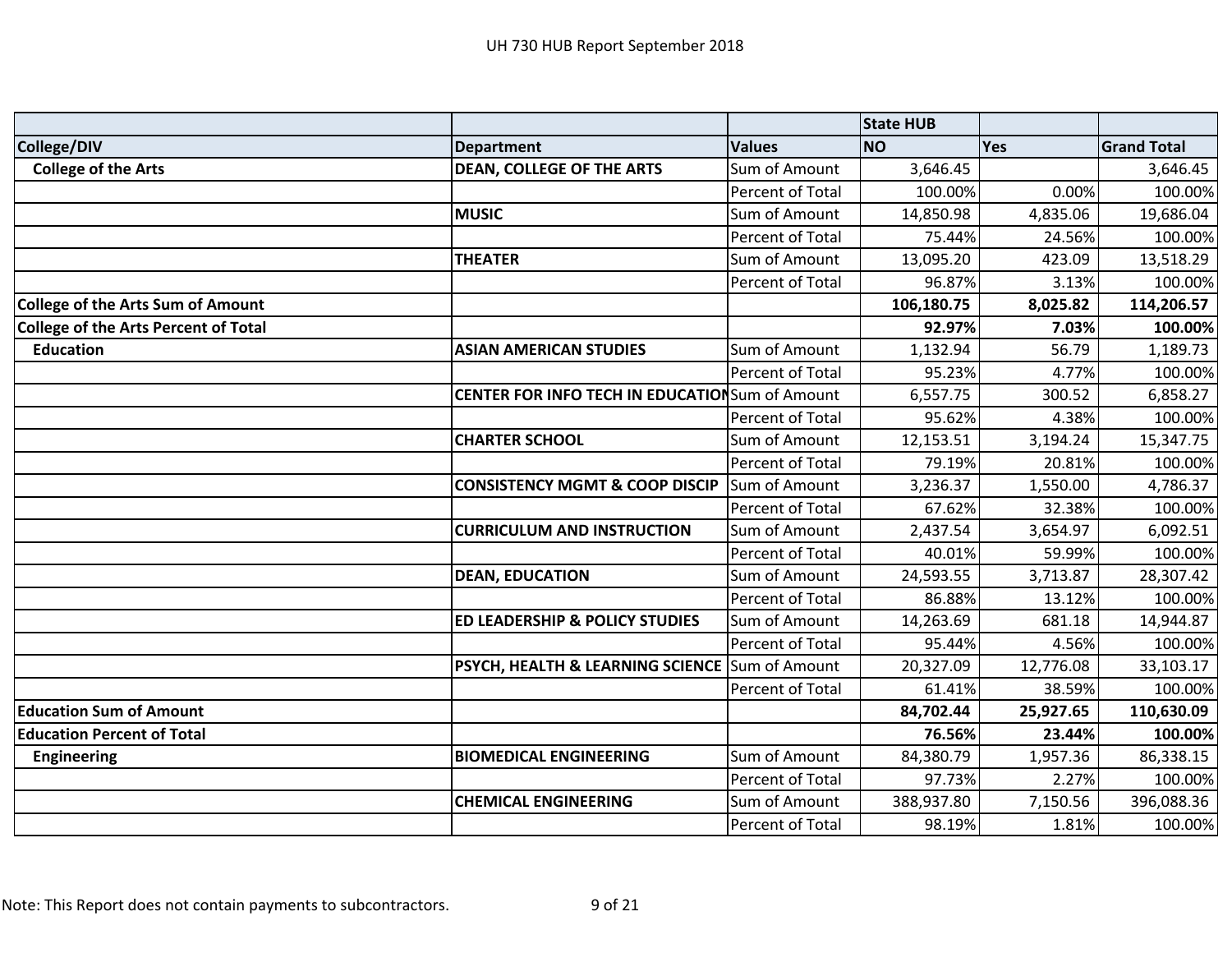|                                             |                                                        |                  | <b>State HUB</b> |           |                    |
|---------------------------------------------|--------------------------------------------------------|------------------|------------------|-----------|--------------------|
| College/DIV                                 | <b>Department</b>                                      | <b>Values</b>    | <b>NO</b>        | Yes       | <b>Grand Total</b> |
| <b>College of the Arts</b>                  | <b>DEAN, COLLEGE OF THE ARTS</b>                       | Sum of Amount    | 3,646.45         |           | 3,646.45           |
|                                             |                                                        | Percent of Total | 100.00%          | 0.00%     | 100.00%            |
|                                             | <b>MUSIC</b>                                           | Sum of Amount    | 14,850.98        | 4,835.06  | 19,686.04          |
|                                             |                                                        | Percent of Total | 75.44%           | 24.56%    | 100.00%            |
|                                             | <b>THEATER</b>                                         | Sum of Amount    | 13,095.20        | 423.09    | 13,518.29          |
|                                             |                                                        | Percent of Total | 96.87%           | 3.13%     | 100.00%            |
| <b>College of the Arts Sum of Amount</b>    |                                                        |                  | 106,180.75       | 8,025.82  | 114,206.57         |
| <b>College of the Arts Percent of Total</b> |                                                        |                  | 92.97%           | 7.03%     | 100.00%            |
| <b>Education</b>                            | <b>ASIAN AMERICAN STUDIES</b>                          | Sum of Amount    | 1,132.94         | 56.79     | 1,189.73           |
|                                             |                                                        | Percent of Total | 95.23%           | 4.77%     | 100.00%            |
|                                             | <b>CENTER FOR INFO TECH IN EDUCATION</b> Sum of Amount |                  | 6,557.75         | 300.52    | 6,858.27           |
|                                             |                                                        | Percent of Total | 95.62%           | 4.38%     | 100.00%            |
|                                             | <b>CHARTER SCHOOL</b>                                  | Sum of Amount    | 12,153.51        | 3,194.24  | 15,347.75          |
|                                             |                                                        | Percent of Total | 79.19%           | 20.81%    | 100.00%            |
|                                             | <b>CONSISTENCY MGMT &amp; COOP DISCIP</b>              | Sum of Amount    | 3,236.37         | 1,550.00  | 4,786.37           |
|                                             |                                                        | Percent of Total | 67.62%           | 32.38%    | 100.00%            |
|                                             | <b>CURRICULUM AND INSTRUCTION</b>                      | Sum of Amount    | 2,437.54         | 3,654.97  | 6,092.51           |
|                                             |                                                        | Percent of Total | 40.01%           | 59.99%    | 100.00%            |
|                                             | <b>DEAN, EDUCATION</b>                                 | Sum of Amount    | 24,593.55        | 3,713.87  | 28,307.42          |
|                                             |                                                        | Percent of Total | 86.88%           | 13.12%    | 100.00%            |
|                                             | <b>ED LEADERSHIP &amp; POLICY STUDIES</b>              | Sum of Amount    | 14,263.69        | 681.18    | 14,944.87          |
|                                             |                                                        | Percent of Total | 95.44%           | 4.56%     | 100.00%            |
|                                             | PSYCH, HEALTH & LEARNING SCIENCE                       | Sum of Amount    | 20,327.09        | 12,776.08 | 33,103.17          |
|                                             |                                                        | Percent of Total | 61.41%           | 38.59%    | 100.00%            |
| <b>Education Sum of Amount</b>              |                                                        |                  | 84,702.44        | 25,927.65 | 110,630.09         |
| <b>Education Percent of Total</b>           |                                                        |                  | 76.56%           | 23.44%    | 100.00%            |
| <b>Engineering</b>                          | <b>BIOMEDICAL ENGINEERING</b>                          | Sum of Amount    | 84,380.79        | 1,957.36  | 86,338.15          |
|                                             |                                                        | Percent of Total | 97.73%           | 2.27%     | 100.00%            |
|                                             | <b>CHEMICAL ENGINEERING</b>                            | Sum of Amount    | 388,937.80       | 7,150.56  | 396,088.36         |
|                                             |                                                        | Percent of Total | 98.19%           | 1.81%     | 100.00%            |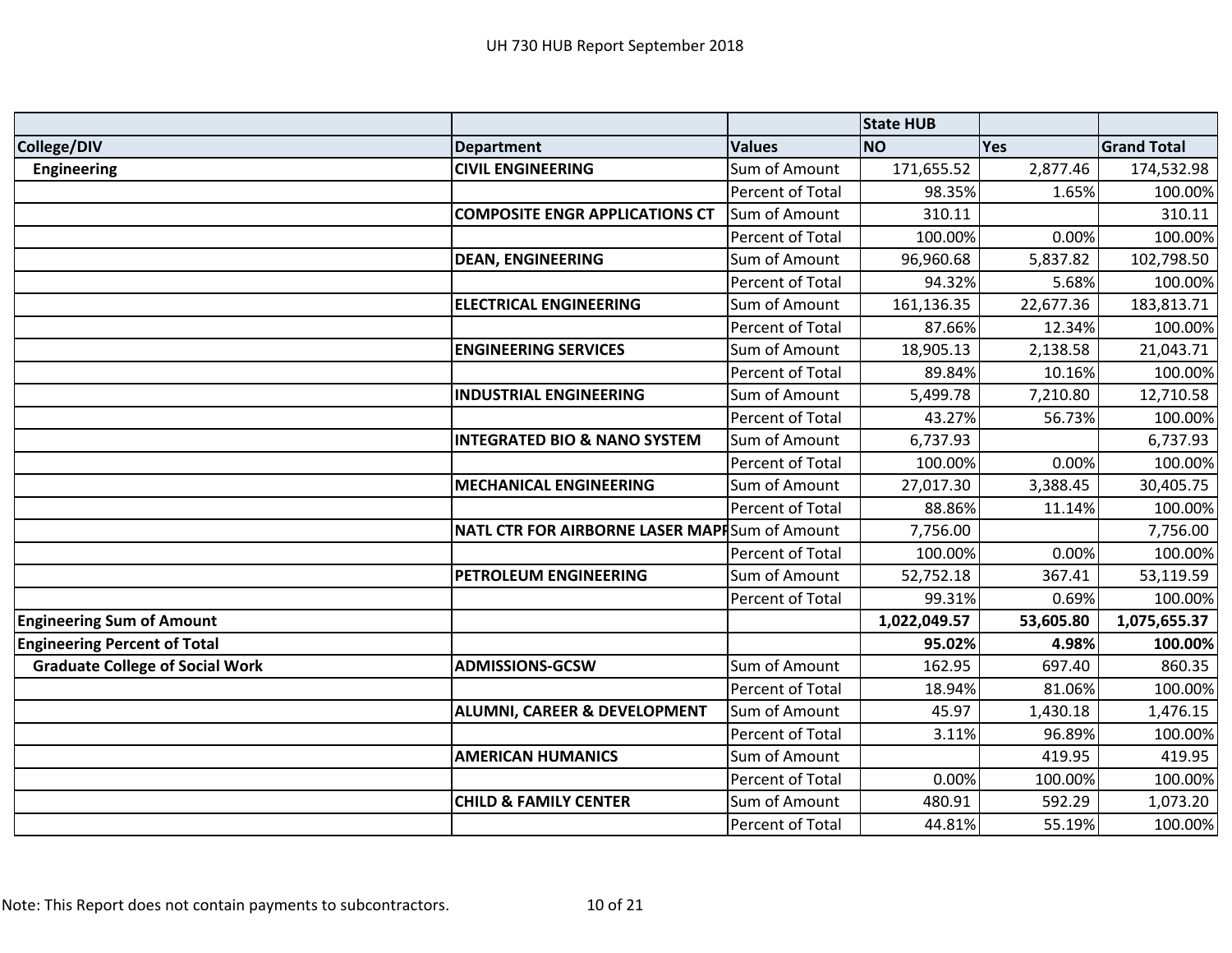|                                        |                                               |                  | <b>State HUB</b> |            |                    |
|----------------------------------------|-----------------------------------------------|------------------|------------------|------------|--------------------|
| College/DIV                            | <b>Department</b>                             | <b>Values</b>    | <b>NO</b>        | <b>Yes</b> | <b>Grand Total</b> |
| <b>Engineering</b>                     | <b>CIVIL ENGINEERING</b>                      | Sum of Amount    | 171,655.52       | 2,877.46   | 174,532.98         |
|                                        |                                               | Percent of Total | 98.35%           | 1.65%      | 100.00%            |
|                                        | <b>COMPOSITE ENGR APPLICATIONS CT</b>         | Sum of Amount    | 310.11           |            | 310.11             |
|                                        |                                               | Percent of Total | 100.00%          | 0.00%      | 100.00%            |
|                                        | <b>DEAN, ENGINEERING</b>                      | Sum of Amount    | 96,960.68        | 5,837.82   | 102,798.50         |
|                                        |                                               | Percent of Total | 94.32%           | 5.68%      | 100.00%            |
|                                        | <b>ELECTRICAL ENGINEERING</b>                 | Sum of Amount    | 161,136.35       | 22,677.36  | 183,813.71         |
|                                        |                                               | Percent of Total | 87.66%           | 12.34%     | 100.00%            |
|                                        | <b>ENGINEERING SERVICES</b>                   | Sum of Amount    | 18,905.13        | 2,138.58   | 21,043.71          |
|                                        |                                               | Percent of Total | 89.84%           | 10.16%     | 100.00%            |
|                                        | <b>INDUSTRIAL ENGINEERING</b>                 | Sum of Amount    | 5,499.78         | 7,210.80   | 12,710.58          |
|                                        |                                               | Percent of Total | 43.27%           | 56.73%     | 100.00%            |
|                                        | <b>INTEGRATED BIO &amp; NANO SYSTEM</b>       | Sum of Amount    | 6,737.93         |            | 6,737.93           |
|                                        |                                               | Percent of Total | 100.00%          | 0.00%      | 100.00%            |
|                                        | <b>MECHANICAL ENGINEERING</b>                 | Sum of Amount    | 27,017.30        | 3,388.45   | 30,405.75          |
|                                        |                                               | Percent of Total | 88.86%           | 11.14%     | 100.00%            |
|                                        | NATL CTR FOR AIRBORNE LASER MAPHSum of Amount |                  | 7,756.00         |            | 7,756.00           |
|                                        |                                               | Percent of Total | 100.00%          | 0.00%      | 100.00%            |
|                                        | PETROLEUM ENGINEERING                         | Sum of Amount    | 52,752.18        | 367.41     | 53,119.59          |
|                                        |                                               | Percent of Total | 99.31%           | 0.69%      | 100.00%            |
| <b>Engineering Sum of Amount</b>       |                                               |                  | 1,022,049.57     | 53,605.80  | 1,075,655.37       |
| <b>Engineering Percent of Total</b>    |                                               |                  | 95.02%           | 4.98%      | 100.00%            |
| <b>Graduate College of Social Work</b> | <b>ADMISSIONS-GCSW</b>                        | Sum of Amount    | 162.95           | 697.40     | 860.35             |
|                                        |                                               | Percent of Total | 18.94%           | 81.06%     | 100.00%            |
|                                        | <b>ALUMNI, CAREER &amp; DEVELOPMENT</b>       | Sum of Amount    | 45.97            | 1,430.18   | 1,476.15           |
|                                        |                                               | Percent of Total | 3.11%            | 96.89%     | 100.00%            |
|                                        | <b>AMERICAN HUMANICS</b>                      | Sum of Amount    |                  | 419.95     | 419.95             |
|                                        |                                               | Percent of Total | 0.00%            | 100.00%    | 100.00%            |
|                                        | <b>CHILD &amp; FAMILY CENTER</b>              | Sum of Amount    | 480.91           | 592.29     | 1,073.20           |
|                                        |                                               | Percent of Total | 44.81%           | 55.19%     | 100.00%            |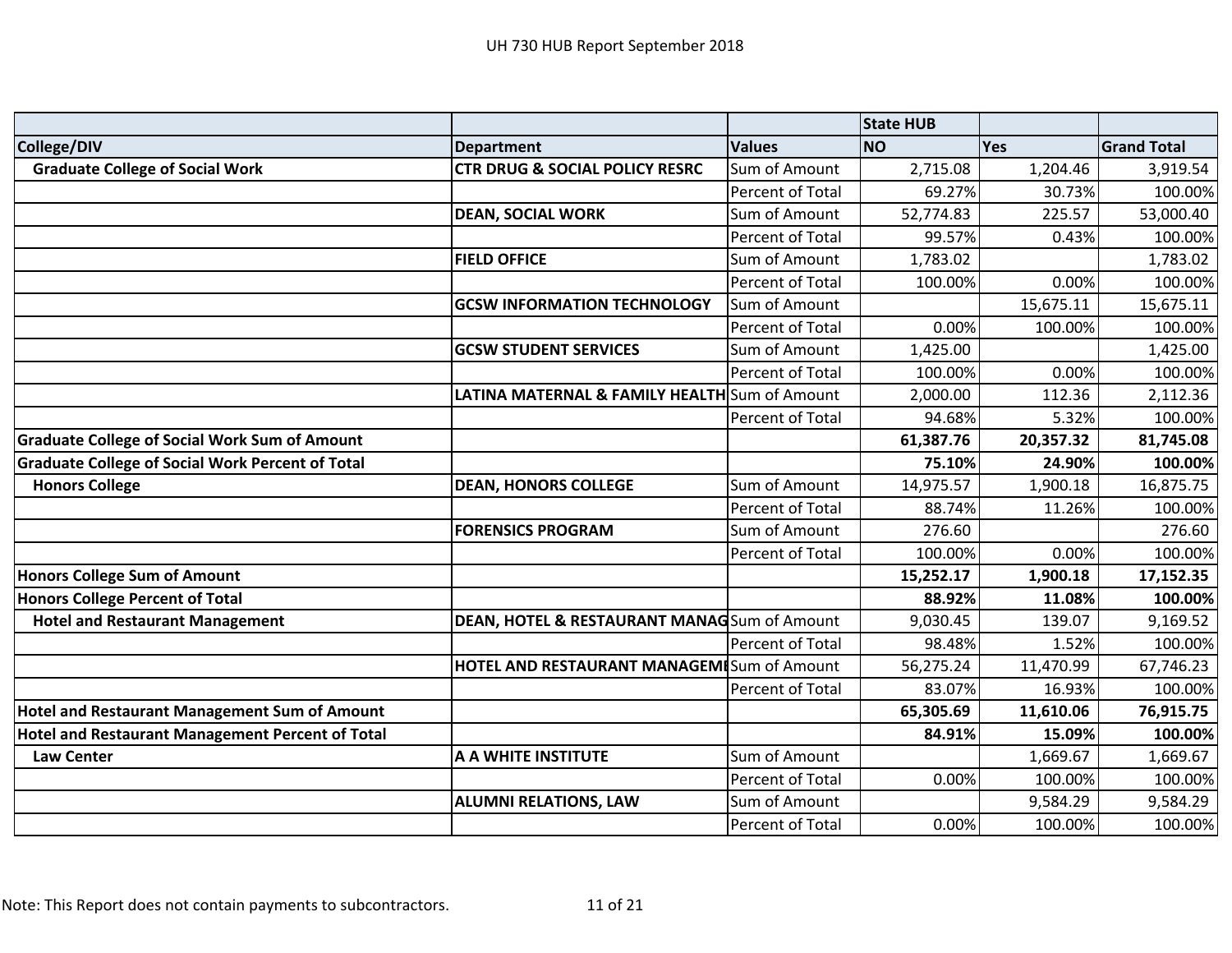|                                                         |                                                    |                         | <b>State HUB</b> |            |                    |
|---------------------------------------------------------|----------------------------------------------------|-------------------------|------------------|------------|--------------------|
| College/DIV                                             | <b>Department</b>                                  | <b>Values</b>           | <b>NO</b>        | <b>Yes</b> | <b>Grand Total</b> |
| <b>Graduate College of Social Work</b>                  | <b>CTR DRUG &amp; SOCIAL POLICY RESRC</b>          | Sum of Amount           | 2,715.08         | 1,204.46   | 3,919.54           |
|                                                         |                                                    | Percent of Total        | 69.27%           | 30.73%     | 100.00%            |
|                                                         | <b>DEAN, SOCIAL WORK</b>                           | Sum of Amount           | 52,774.83        | 225.57     | 53,000.40          |
|                                                         |                                                    | Percent of Total        | 99.57%           | 0.43%      | 100.00%            |
|                                                         | <b>FIELD OFFICE</b>                                | Sum of Amount           | 1,783.02         |            | 1,783.02           |
|                                                         |                                                    | Percent of Total        | 100.00%          | 0.00%      | 100.00%            |
|                                                         | <b>GCSW INFORMATION TECHNOLOGY</b>                 | Sum of Amount           |                  | 15,675.11  | 15,675.11          |
|                                                         |                                                    | <b>Percent of Total</b> | 0.00%            | 100.00%    | 100.00%            |
|                                                         | <b>GCSW STUDENT SERVICES</b>                       | Sum of Amount           | 1,425.00         |            | 1,425.00           |
|                                                         |                                                    | Percent of Total        | 100.00%          | 0.00%      | 100.00%            |
|                                                         | LATINA MATERNAL & FAMILY HEALTH Sum of Amount      |                         | 2,000.00         | 112.36     | 2,112.36           |
|                                                         |                                                    | Percent of Total        | 94.68%           | 5.32%      | 100.00%            |
| <b>Graduate College of Social Work Sum of Amount</b>    |                                                    |                         | 61,387.76        | 20,357.32  | 81,745.08          |
| <b>Graduate College of Social Work Percent of Total</b> |                                                    |                         | 75.10%           | 24.90%     | 100.00%            |
| <b>Honors College</b>                                   | <b>DEAN, HONORS COLLEGE</b>                        | Sum of Amount           | 14,975.57        | 1,900.18   | 16,875.75          |
|                                                         |                                                    | Percent of Total        | 88.74%           | 11.26%     | 100.00%            |
|                                                         | <b>FORENSICS PROGRAM</b>                           | Sum of Amount           | 276.60           |            | 276.60             |
|                                                         |                                                    | Percent of Total        | 100.00%          | 0.00%      | 100.00%            |
| <b>Honors College Sum of Amount</b>                     |                                                    |                         | 15,252.17        | 1,900.18   | 17,152.35          |
| <b>Honors College Percent of Total</b>                  |                                                    |                         | 88.92%           | 11.08%     | 100.00%            |
| <b>Hotel and Restaurant Management</b>                  | DEAN, HOTEL & RESTAURANT MANAGSum of Amount        |                         | 9,030.45         | 139.07     | 9,169.52           |
|                                                         |                                                    | Percent of Total        | 98.48%           | 1.52%      | 100.00%            |
|                                                         | <b>HOTEL AND RESTAURANT MANAGEMI</b> Sum of Amount |                         | 56,275.24        | 11,470.99  | 67,746.23          |
|                                                         |                                                    | Percent of Total        | 83.07%           | 16.93%     | 100.00%            |
| <b>Hotel and Restaurant Management Sum of Amount</b>    |                                                    |                         | 65,305.69        | 11,610.06  | 76,915.75          |
| <b>Hotel and Restaurant Management Percent of Total</b> |                                                    |                         | 84.91%           | 15.09%     | 100.00%            |
| <b>Law Center</b>                                       | A A WHITE INSTITUTE                                | Sum of Amount           |                  | 1,669.67   | 1,669.67           |
|                                                         |                                                    | Percent of Total        | 0.00%            | 100.00%    | 100.00%            |
|                                                         | <b>ALUMNI RELATIONS, LAW</b>                       | Sum of Amount           |                  | 9,584.29   | 9,584.29           |
|                                                         |                                                    | Percent of Total        | 0.00%            | 100.00%    | 100.00%            |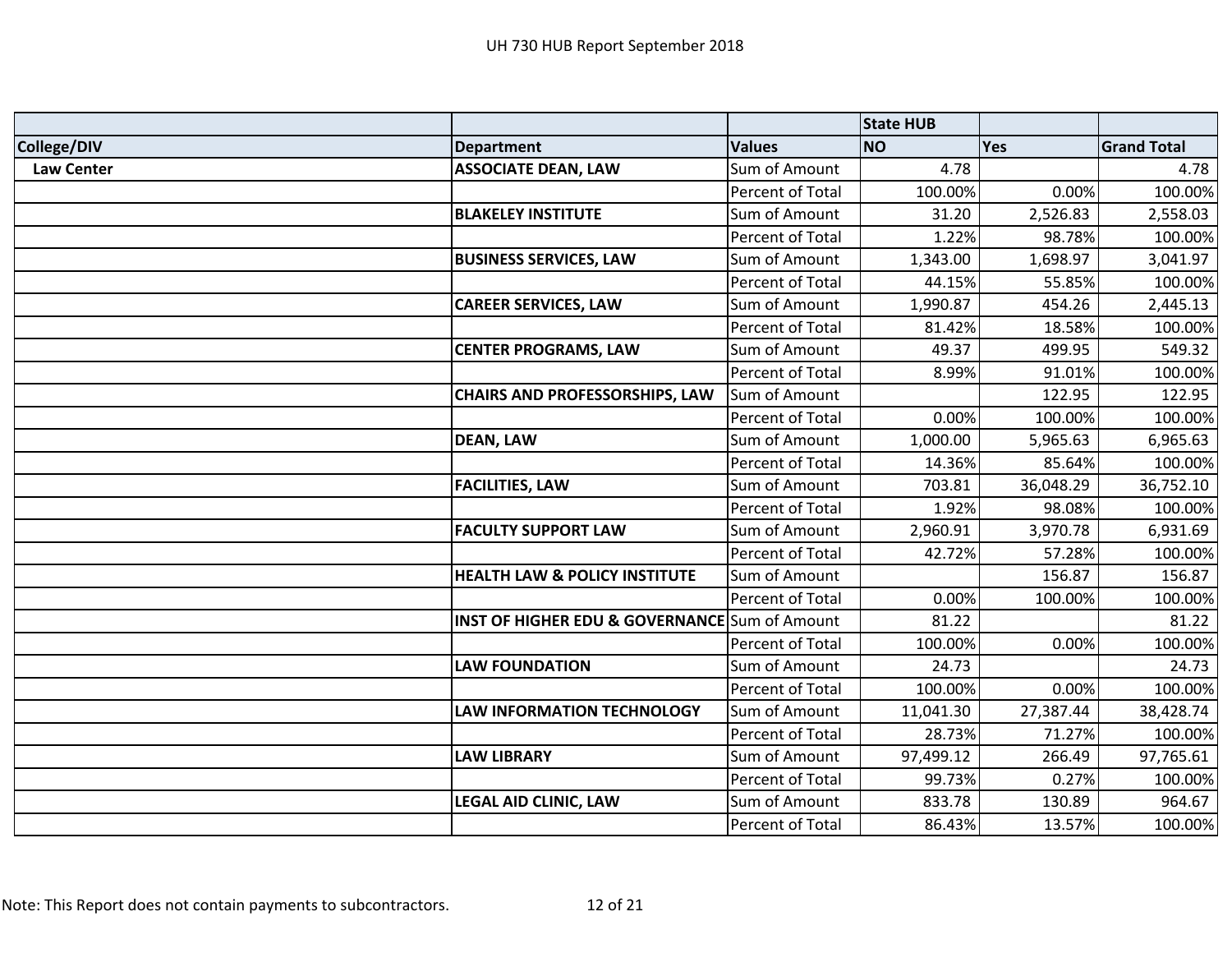|                   |                                                          |                  | <b>State HUB</b> |            |                    |
|-------------------|----------------------------------------------------------|------------------|------------------|------------|--------------------|
| College/DIV       | <b>Department</b>                                        | <b>Values</b>    | <b>NO</b>        | <b>Yes</b> | <b>Grand Total</b> |
| <b>Law Center</b> | <b>ASSOCIATE DEAN, LAW</b>                               | Sum of Amount    | 4.78             |            | 4.78               |
|                   |                                                          | Percent of Total | 100.00%          | 0.00%      | 100.00%            |
|                   | <b>BLAKELEY INSTITUTE</b>                                | Sum of Amount    | 31.20            | 2,526.83   | 2,558.03           |
|                   |                                                          | Percent of Total | 1.22%            | 98.78%     | 100.00%            |
|                   | <b>BUSINESS SERVICES, LAW</b>                            | Sum of Amount    | 1,343.00         | 1,698.97   | 3,041.97           |
|                   |                                                          | Percent of Total | 44.15%           | 55.85%     | 100.00%            |
|                   | <b>CAREER SERVICES, LAW</b>                              | Sum of Amount    | 1,990.87         | 454.26     | 2,445.13           |
|                   |                                                          | Percent of Total | 81.42%           | 18.58%     | 100.00%            |
|                   | <b>CENTER PROGRAMS, LAW</b>                              | Sum of Amount    | 49.37            | 499.95     | 549.32             |
|                   |                                                          | Percent of Total | 8.99%            | 91.01%     | 100.00%            |
|                   | <b>CHAIRS AND PROFESSORSHIPS, LAW</b>                    | Sum of Amount    |                  | 122.95     | 122.95             |
|                   |                                                          | Percent of Total | 0.00%            | 100.00%    | 100.00%            |
|                   | <b>DEAN, LAW</b>                                         | Sum of Amount    | 1,000.00         | 5,965.63   | 6,965.63           |
|                   |                                                          | Percent of Total | 14.36%           | 85.64%     | 100.00%            |
|                   | <b>FACILITIES, LAW</b>                                   | Sum of Amount    | 703.81           | 36,048.29  | 36,752.10          |
|                   |                                                          | Percent of Total | 1.92%            | 98.08%     | 100.00%            |
|                   | <b>FACULTY SUPPORT LAW</b>                               | Sum of Amount    | 2,960.91         | 3,970.78   | 6,931.69           |
|                   |                                                          | Percent of Total | 42.72%           | 57.28%     | 100.00%            |
|                   | <b>HEALTH LAW &amp; POLICY INSTITUTE</b>                 | Sum of Amount    |                  | 156.87     | 156.87             |
|                   |                                                          | Percent of Total | 0.00%            | 100.00%    | 100.00%            |
|                   | <b>INST OF HIGHER EDU &amp; GOVERNANCE</b> Sum of Amount |                  | 81.22            |            | 81.22              |
|                   |                                                          | Percent of Total | 100.00%          | 0.00%      | 100.00%            |
|                   | <b>LAW FOUNDATION</b>                                    | Sum of Amount    | 24.73            |            | 24.73              |
|                   |                                                          | Percent of Total | 100.00%          | 0.00%      | 100.00%            |
|                   | <b>LAW INFORMATION TECHNOLOGY</b>                        | Sum of Amount    | 11,041.30        | 27,387.44  | 38,428.74          |
|                   |                                                          | Percent of Total | 28.73%           | 71.27%     | 100.00%            |
|                   | <b>LAW LIBRARY</b>                                       | Sum of Amount    | 97,499.12        | 266.49     | 97,765.61          |
|                   |                                                          | Percent of Total | 99.73%           | 0.27%      | 100.00%            |
|                   | LEGAL AID CLINIC, LAW                                    | Sum of Amount    | 833.78           | 130.89     | 964.67             |
|                   |                                                          | Percent of Total | 86.43%           | 13.57%     | 100.00%            |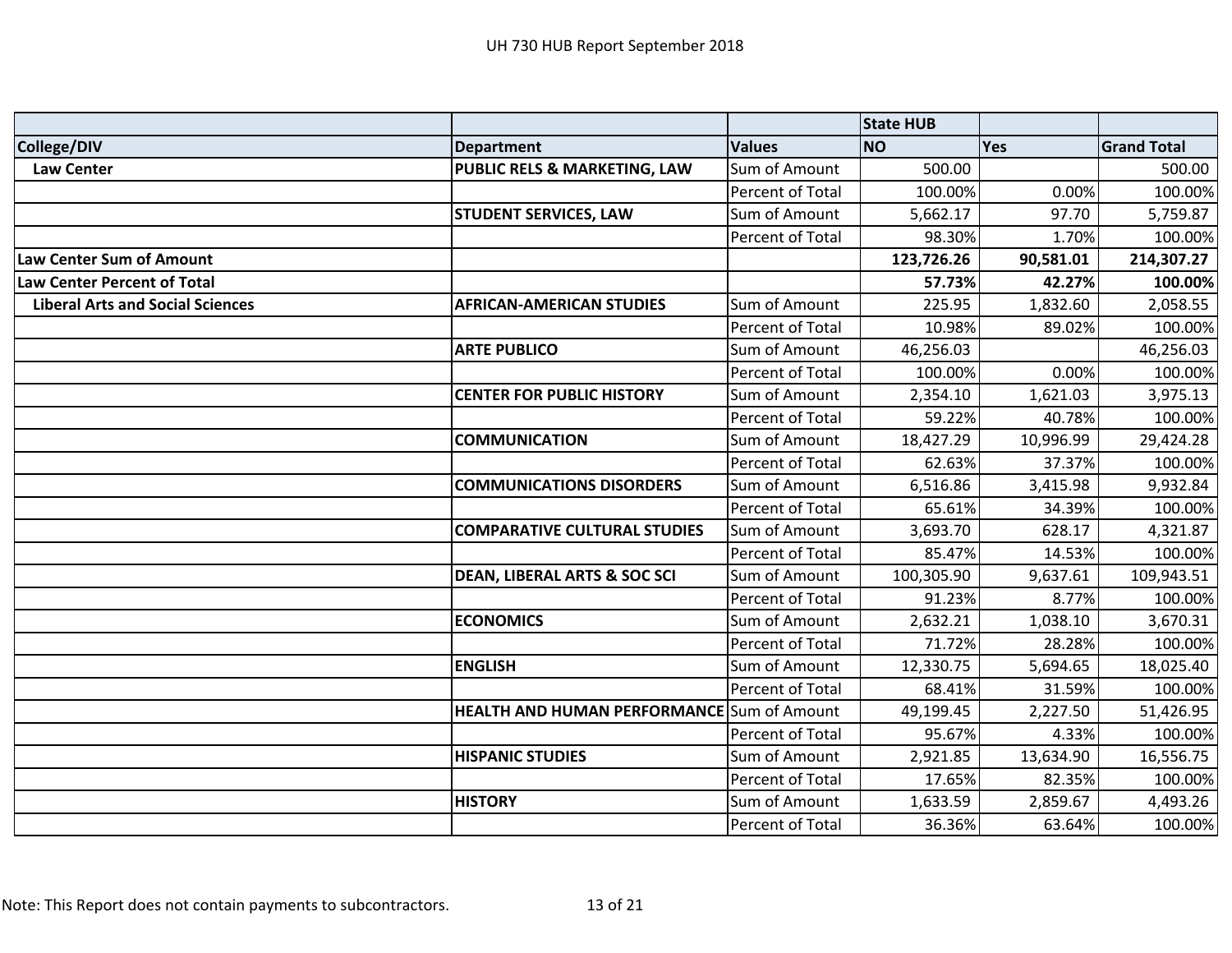|                                         |                                                   |                  | <b>State HUB</b> |           |                    |
|-----------------------------------------|---------------------------------------------------|------------------|------------------|-----------|--------------------|
| <b>College/DIV</b>                      | <b>Department</b>                                 | <b>Values</b>    | <b>NO</b>        | Yes       | <b>Grand Total</b> |
| <b>Law Center</b>                       | PUBLIC RELS & MARKETING, LAW                      | Sum of Amount    | 500.00           |           | 500.00             |
|                                         |                                                   | Percent of Total | 100.00%          | 0.00%     | 100.00%            |
|                                         | <b>STUDENT SERVICES, LAW</b>                      | Sum of Amount    | 5,662.17         | 97.70     | 5,759.87           |
|                                         |                                                   | Percent of Total | 98.30%           | 1.70%     | 100.00%            |
| Law Center Sum of Amount                |                                                   |                  | 123,726.26       | 90,581.01 | 214,307.27         |
| <b>Law Center Percent of Total</b>      |                                                   |                  | 57.73%           | 42.27%    | 100.00%            |
| <b>Liberal Arts and Social Sciences</b> | <b>AFRICAN-AMERICAN STUDIES</b>                   | Sum of Amount    | 225.95           | 1,832.60  | 2,058.55           |
|                                         |                                                   | Percent of Total | 10.98%           | 89.02%    | 100.00%            |
|                                         | <b>ARTE PUBLICO</b>                               | Sum of Amount    | 46,256.03        |           | 46,256.03          |
|                                         |                                                   | Percent of Total | 100.00%          | 0.00%     | 100.00%            |
|                                         | <b>CENTER FOR PUBLIC HISTORY</b>                  | Sum of Amount    | 2,354.10         | 1,621.03  | 3,975.13           |
|                                         |                                                   | Percent of Total | 59.22%           | 40.78%    | 100.00%            |
|                                         | <b>COMMUNICATION</b>                              | Sum of Amount    | 18,427.29        | 10,996.99 | 29,424.28          |
|                                         |                                                   | Percent of Total | 62.63%           | 37.37%    | 100.00%            |
|                                         | <b>COMMUNICATIONS DISORDERS</b>                   | Sum of Amount    | 6,516.86         | 3,415.98  | 9,932.84           |
|                                         |                                                   | Percent of Total | 65.61%           | 34.39%    | 100.00%            |
|                                         | <b>COMPARATIVE CULTURAL STUDIES</b>               | Sum of Amount    | 3,693.70         | 628.17    | 4,321.87           |
|                                         |                                                   | Percent of Total | 85.47%           | 14.53%    | 100.00%            |
|                                         | <b>DEAN, LIBERAL ARTS &amp; SOC SCI</b>           | Sum of Amount    | 100,305.90       | 9,637.61  | 109,943.51         |
|                                         |                                                   | Percent of Total | 91.23%           | 8.77%     | 100.00%            |
|                                         | <b>ECONOMICS</b>                                  | Sum of Amount    | 2,632.21         | 1,038.10  | 3,670.31           |
|                                         |                                                   | Percent of Total | 71.72%           | 28.28%    | 100.00%            |
|                                         | <b>ENGLISH</b>                                    | Sum of Amount    | 12,330.75        | 5,694.65  | 18,025.40          |
|                                         |                                                   | Percent of Total | 68.41%           | 31.59%    | 100.00%            |
|                                         | <b>HEALTH AND HUMAN PERFORMANCE</b> Sum of Amount |                  | 49,199.45        | 2,227.50  | 51,426.95          |
|                                         |                                                   | Percent of Total | 95.67%           | 4.33%     | 100.00%            |
|                                         | <b>HISPANIC STUDIES</b>                           | Sum of Amount    | 2,921.85         | 13,634.90 | 16,556.75          |
|                                         |                                                   | Percent of Total | 17.65%           | 82.35%    | 100.00%            |
|                                         | <b>HISTORY</b>                                    | Sum of Amount    | 1,633.59         | 2,859.67  | 4,493.26           |
|                                         |                                                   | Percent of Total | 36.36%           | 63.64%    | 100.00%            |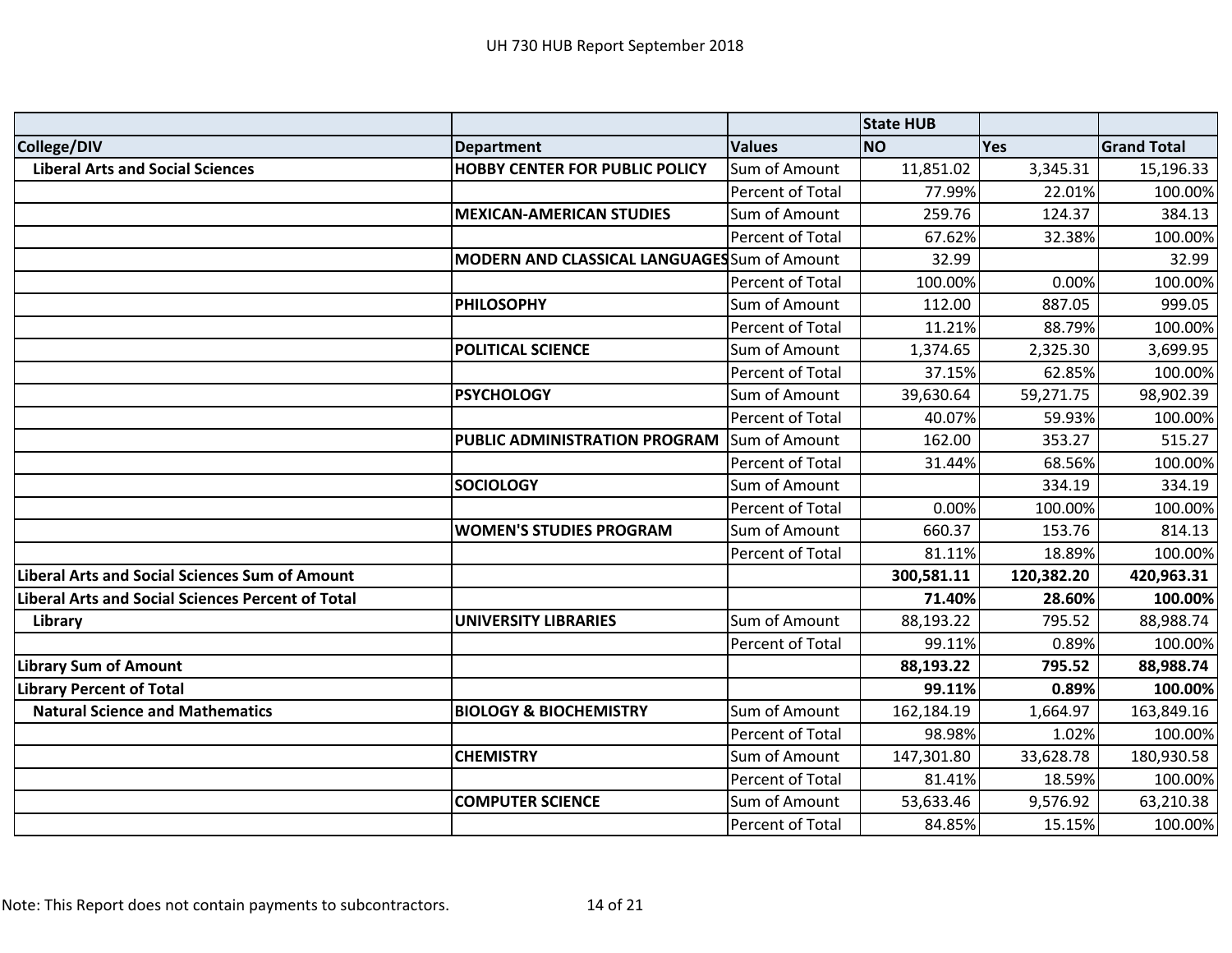|                                                          |                                                     |                  | <b>State HUB</b> |            |                    |
|----------------------------------------------------------|-----------------------------------------------------|------------------|------------------|------------|--------------------|
| College/DIV                                              | <b>Department</b>                                   | <b>Values</b>    | <b>NO</b>        | Yes        | <b>Grand Total</b> |
| <b>Liberal Arts and Social Sciences</b>                  | <b>HOBBY CENTER FOR PUBLIC POLICY</b>               | Sum of Amount    | 11,851.02        | 3,345.31   | 15,196.33          |
|                                                          |                                                     | Percent of Total | 77.99%           | 22.01%     | 100.00%            |
|                                                          | <b>MEXICAN-AMERICAN STUDIES</b>                     | Sum of Amount    | 259.76           | 124.37     | 384.13             |
|                                                          |                                                     | Percent of Total | 67.62%           | 32.38%     | 100.00%            |
|                                                          | <b>MODERN AND CLASSICAL LANGUAGES</b> Sum of Amount |                  | 32.99            |            | 32.99              |
|                                                          |                                                     | Percent of Total | 100.00%          | 0.00%      | 100.00%            |
|                                                          | <b>PHILOSOPHY</b>                                   | Sum of Amount    | 112.00           | 887.05     | 999.05             |
|                                                          |                                                     | Percent of Total | 11.21%           | 88.79%     | 100.00%            |
|                                                          | <b>POLITICAL SCIENCE</b>                            | Sum of Amount    | 1,374.65         | 2,325.30   | 3,699.95           |
|                                                          |                                                     | Percent of Total | 37.15%           | 62.85%     | 100.00%            |
|                                                          | <b>PSYCHOLOGY</b>                                   | Sum of Amount    | 39,630.64        | 59,271.75  | 98,902.39          |
|                                                          |                                                     | Percent of Total | 40.07%           | 59.93%     | 100.00%            |
|                                                          | PUBLIC ADMINISTRATION PROGRAM                       | Sum of Amount    | 162.00           | 353.27     | 515.27             |
|                                                          |                                                     | Percent of Total | 31.44%           | 68.56%     | 100.00%            |
|                                                          | <b>SOCIOLOGY</b>                                    | Sum of Amount    |                  | 334.19     | 334.19             |
|                                                          |                                                     | Percent of Total | 0.00%            | 100.00%    | 100.00%            |
|                                                          | <b>WOMEN'S STUDIES PROGRAM</b>                      | Sum of Amount    | 660.37           | 153.76     | 814.13             |
|                                                          |                                                     | Percent of Total | 81.11%           | 18.89%     | 100.00%            |
| <b>Liberal Arts and Social Sciences Sum of Amount</b>    |                                                     |                  | 300,581.11       | 120,382.20 | 420,963.31         |
| <b>Liberal Arts and Social Sciences Percent of Total</b> |                                                     |                  | 71.40%           | 28.60%     | 100.00%            |
| Library                                                  | <b>UNIVERSITY LIBRARIES</b>                         | Sum of Amount    | 88,193.22        | 795.52     | 88,988.74          |
|                                                          |                                                     | Percent of Total | 99.11%           | 0.89%      | 100.00%            |
| <b>Library Sum of Amount</b>                             |                                                     |                  | 88,193.22        | 795.52     | 88,988.74          |
| <b>Library Percent of Total</b>                          |                                                     |                  | 99.11%           | 0.89%      | 100.00%            |
| <b>Natural Science and Mathematics</b>                   | <b>BIOLOGY &amp; BIOCHEMISTRY</b>                   | Sum of Amount    | 162,184.19       | 1,664.97   | 163,849.16         |
|                                                          |                                                     | Percent of Total | 98.98%           | 1.02%      | 100.00%            |
|                                                          | <b>CHEMISTRY</b>                                    | Sum of Amount    | 147,301.80       | 33,628.78  | 180,930.58         |
|                                                          |                                                     | Percent of Total | 81.41%           | 18.59%     | 100.00%            |
|                                                          | <b>COMPUTER SCIENCE</b>                             | Sum of Amount    | 53,633.46        | 9,576.92   | 63,210.38          |
|                                                          |                                                     | Percent of Total | 84.85%           | 15.15%     | 100.00%            |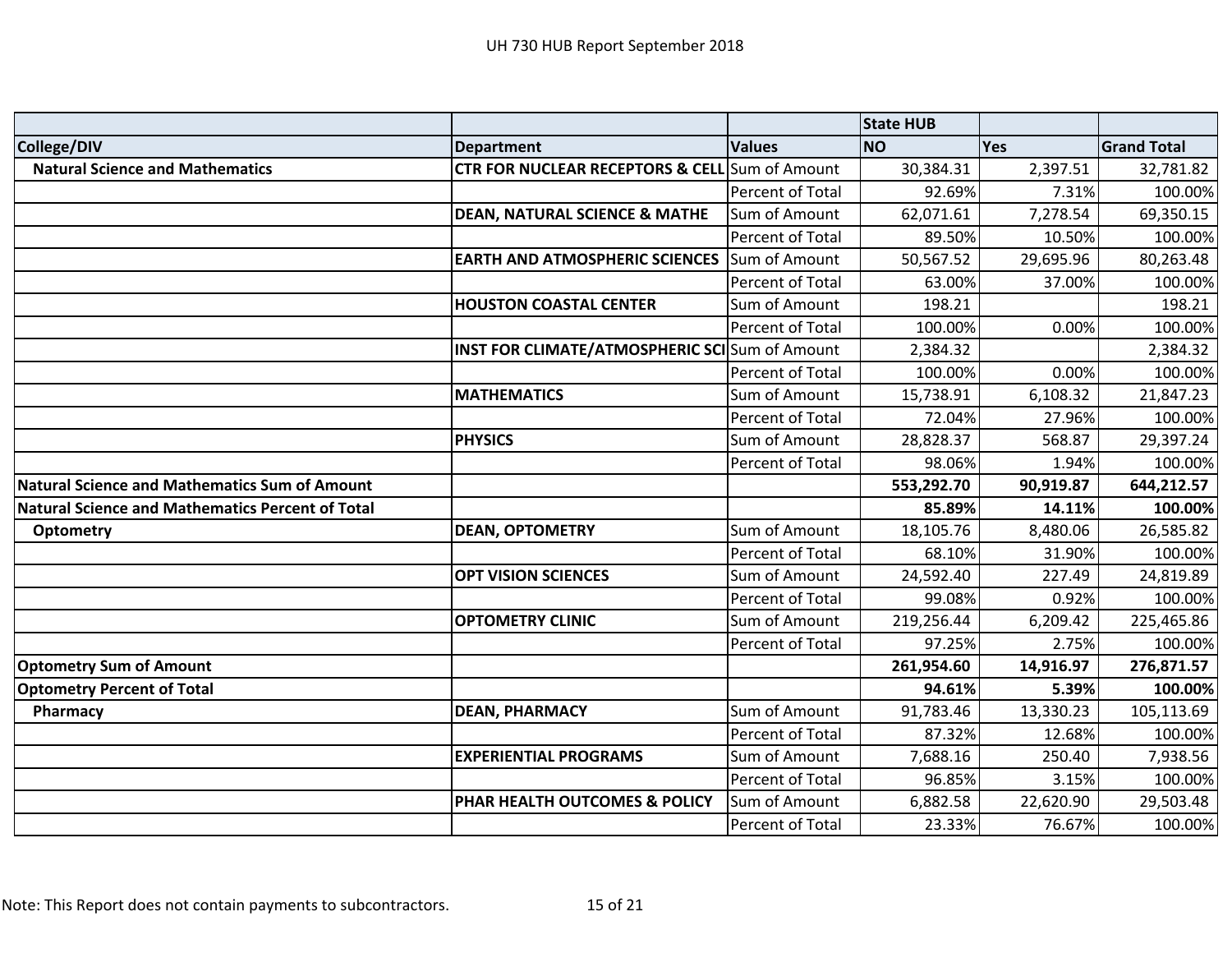|                                                         |                                                           |                  | <b>State HUB</b> |           |                    |
|---------------------------------------------------------|-----------------------------------------------------------|------------------|------------------|-----------|--------------------|
| College/DIV                                             | <b>Department</b>                                         | <b>Values</b>    | <b>NO</b>        | Yes       | <b>Grand Total</b> |
| <b>Natural Science and Mathematics</b>                  | <b>CTR FOR NUCLEAR RECEPTORS &amp; CELL</b> Sum of Amount |                  | 30,384.31        | 2,397.51  | 32,781.82          |
|                                                         |                                                           | Percent of Total | 92.69%           | 7.31%     | 100.00%            |
|                                                         | <b>DEAN, NATURAL SCIENCE &amp; MATHE</b>                  | Sum of Amount    | 62,071.61        | 7,278.54  | 69,350.15          |
|                                                         |                                                           | Percent of Total | 89.50%           | 10.50%    | 100.00%            |
|                                                         | <b>EARTH AND ATMOSPHERIC SCIENCES</b>                     | Sum of Amount    | 50,567.52        | 29,695.96 | 80,263.48          |
|                                                         |                                                           | Percent of Total | 63.00%           | 37.00%    | 100.00%            |
|                                                         | <b>HOUSTON COASTAL CENTER</b>                             | Sum of Amount    | 198.21           |           | 198.21             |
|                                                         |                                                           | Percent of Total | 100.00%          | 0.00%     | 100.00%            |
|                                                         | <b>INST FOR CLIMATE/ATMOSPHERIC SCI</b> Sum of Amount     |                  | 2,384.32         |           | 2,384.32           |
|                                                         |                                                           | Percent of Total | 100.00%          | 0.00%     | 100.00%            |
|                                                         | <b>MATHEMATICS</b>                                        | Sum of Amount    | 15,738.91        | 6,108.32  | 21,847.23          |
|                                                         |                                                           | Percent of Total | 72.04%           | 27.96%    | 100.00%            |
|                                                         | <b>PHYSICS</b>                                            | Sum of Amount    | 28,828.37        | 568.87    | 29,397.24          |
|                                                         |                                                           | Percent of Total | 98.06%           | 1.94%     | 100.00%            |
| <b>Natural Science and Mathematics Sum of Amount</b>    |                                                           |                  | 553,292.70       | 90,919.87 | 644,212.57         |
| <b>Natural Science and Mathematics Percent of Total</b> |                                                           |                  | 85.89%           | 14.11%    | 100.00%            |
| <b>Optometry</b>                                        | <b>DEAN, OPTOMETRY</b>                                    | Sum of Amount    | 18,105.76        | 8,480.06  | 26,585.82          |
|                                                         |                                                           | Percent of Total | 68.10%           | 31.90%    | 100.00%            |
|                                                         | <b>OPT VISION SCIENCES</b>                                | Sum of Amount    | 24,592.40        | 227.49    | 24,819.89          |
|                                                         |                                                           | Percent of Total | 99.08%           | 0.92%     | 100.00%            |
|                                                         | <b>OPTOMETRY CLINIC</b>                                   | Sum of Amount    | 219,256.44       | 6,209.42  | 225,465.86         |
|                                                         |                                                           | Percent of Total | 97.25%           | 2.75%     | 100.00%            |
| <b>Optometry Sum of Amount</b>                          |                                                           |                  | 261,954.60       | 14,916.97 | 276,871.57         |
| <b>Optometry Percent of Total</b>                       |                                                           |                  | 94.61%           | 5.39%     | 100.00%            |
| Pharmacy                                                | <b>DEAN, PHARMACY</b>                                     | Sum of Amount    | 91,783.46        | 13,330.23 | 105,113.69         |
|                                                         |                                                           | Percent of Total | 87.32%           | 12.68%    | 100.00%            |
|                                                         | <b>EXPERIENTIAL PROGRAMS</b>                              | Sum of Amount    | 7,688.16         | 250.40    | 7,938.56           |
|                                                         |                                                           | Percent of Total | 96.85%           | 3.15%     | 100.00%            |
|                                                         | PHAR HEALTH OUTCOMES & POLICY                             | Sum of Amount    | 6,882.58         | 22,620.90 | 29,503.48          |
|                                                         |                                                           | Percent of Total | 23.33%           | 76.67%    | 100.00%            |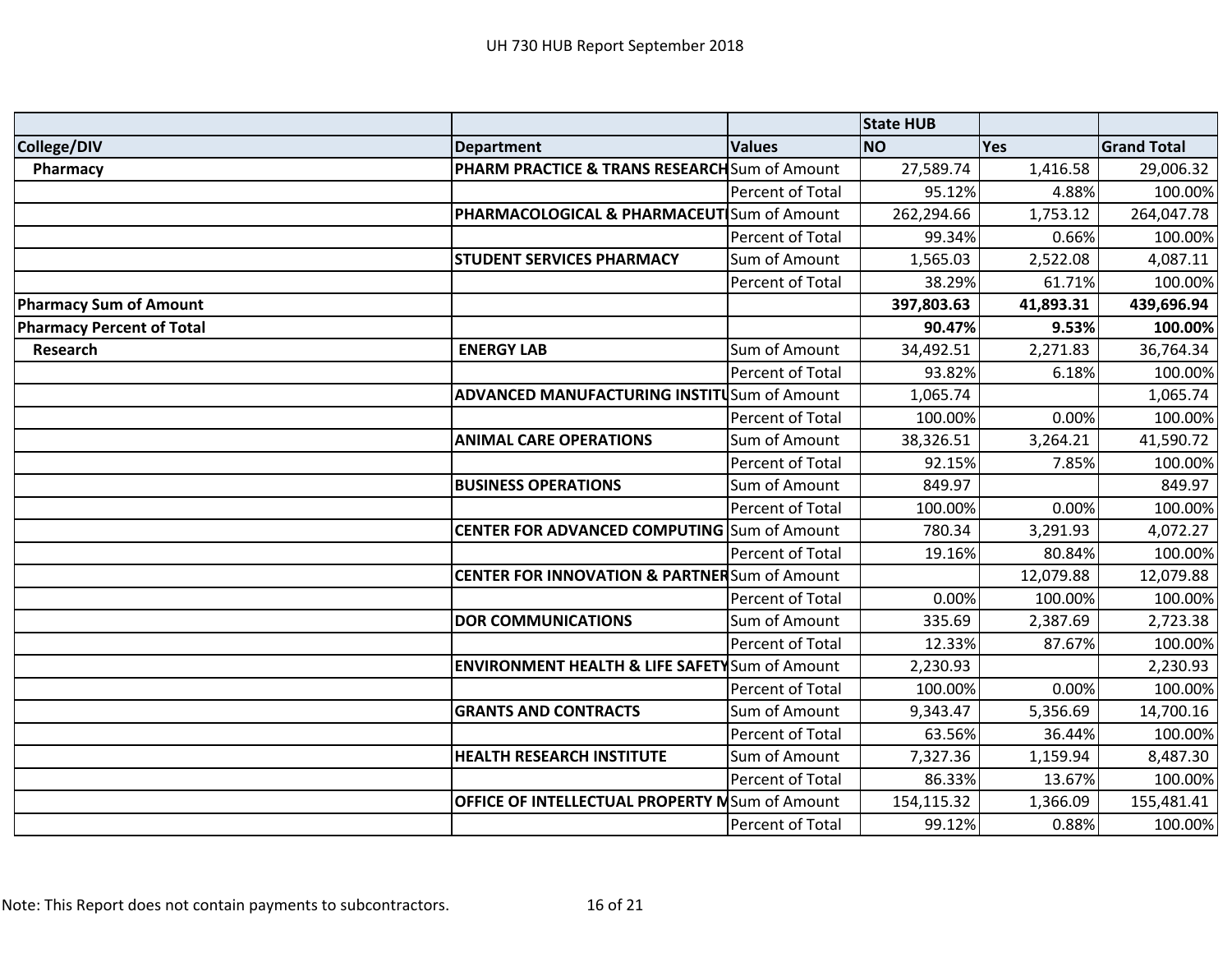|                                  |                                                           |                  | <b>State HUB</b> |           |                    |
|----------------------------------|-----------------------------------------------------------|------------------|------------------|-----------|--------------------|
| College/DIV                      | <b>Department</b>                                         | <b>Values</b>    | <b>NO</b>        | Yes       | <b>Grand Total</b> |
| Pharmacy                         | PHARM PRACTICE & TRANS RESEARCH Sum of Amount             |                  | 27,589.74        | 1,416.58  | 29,006.32          |
|                                  |                                                           | Percent of Total | 95.12%           | 4.88%     | 100.00%            |
|                                  | PHARMACOLOGICAL & PHARMACEUT Sum of Amount                |                  | 262,294.66       | 1,753.12  | 264,047.78         |
|                                  |                                                           | Percent of Total | 99.34%           | 0.66%     | 100.00%            |
|                                  | <b>STUDENT SERVICES PHARMACY</b>                          | Sum of Amount    | 1,565.03         | 2,522.08  | 4,087.11           |
|                                  |                                                           | Percent of Total | 38.29%           | 61.71%    | 100.00%            |
| <b>Pharmacy Sum of Amount</b>    |                                                           |                  | 397,803.63       | 41,893.31 | 439,696.94         |
| <b>Pharmacy Percent of Total</b> |                                                           |                  | 90.47%           | 9.53%     | 100.00%            |
| Research                         | <b>ENERGY LAB</b>                                         | Sum of Amount    | 34,492.51        | 2,271.83  | 36,764.34          |
|                                  |                                                           | Percent of Total | 93.82%           | 6.18%     | 100.00%            |
|                                  | ADVANCED MANUFACTURING INSTITUSum of Amount               |                  | 1,065.74         |           | 1,065.74           |
|                                  |                                                           | Percent of Total | 100.00%          | 0.00%     | 100.00%            |
|                                  | <b>ANIMAL CARE OPERATIONS</b>                             | Sum of Amount    | 38,326.51        | 3,264.21  | 41,590.72          |
|                                  |                                                           | Percent of Total | 92.15%           | 7.85%     | 100.00%            |
|                                  | <b>BUSINESS OPERATIONS</b>                                | Sum of Amount    | 849.97           |           | 849.97             |
|                                  |                                                           | Percent of Total | 100.00%          | 0.00%     | 100.00%            |
|                                  | <b>CENTER FOR ADVANCED COMPUTING</b> Sum of Amount        |                  | 780.34           | 3,291.93  | 4,072.27           |
|                                  |                                                           | Percent of Total | 19.16%           | 80.84%    | 100.00%            |
|                                  | <b>CENTER FOR INNOVATION &amp; PARTNER</b> Sum of Amount  |                  |                  | 12,079.88 | 12,079.88          |
|                                  |                                                           | Percent of Total | 0.00%            | 100.00%   | 100.00%            |
|                                  | <b>DOR COMMUNICATIONS</b>                                 | Sum of Amount    | 335.69           | 2,387.69  | 2,723.38           |
|                                  |                                                           | Percent of Total | 12.33%           | 87.67%    | 100.00%            |
|                                  | <b>ENVIRONMENT HEALTH &amp; LIFE SAFETY</b> Sum of Amount |                  | 2,230.93         |           | 2,230.93           |
|                                  |                                                           | Percent of Total | 100.00%          | 0.00%     | 100.00%            |
|                                  | <b>GRANTS AND CONTRACTS</b>                               | Sum of Amount    | 9,343.47         | 5,356.69  | 14,700.16          |
|                                  |                                                           | Percent of Total | 63.56%           | 36.44%    | 100.00%            |
|                                  | <b>HEALTH RESEARCH INSTITUTE</b>                          | Sum of Amount    | 7,327.36         | 1,159.94  | 8,487.30           |
|                                  |                                                           | Percent of Total | 86.33%           | 13.67%    | 100.00%            |
|                                  | OFFICE OF INTELLECTUAL PROPERTY MSum of Amount            |                  | 154,115.32       | 1,366.09  | 155,481.41         |
|                                  |                                                           | Percent of Total | 99.12%           | 0.88%     | 100.00%            |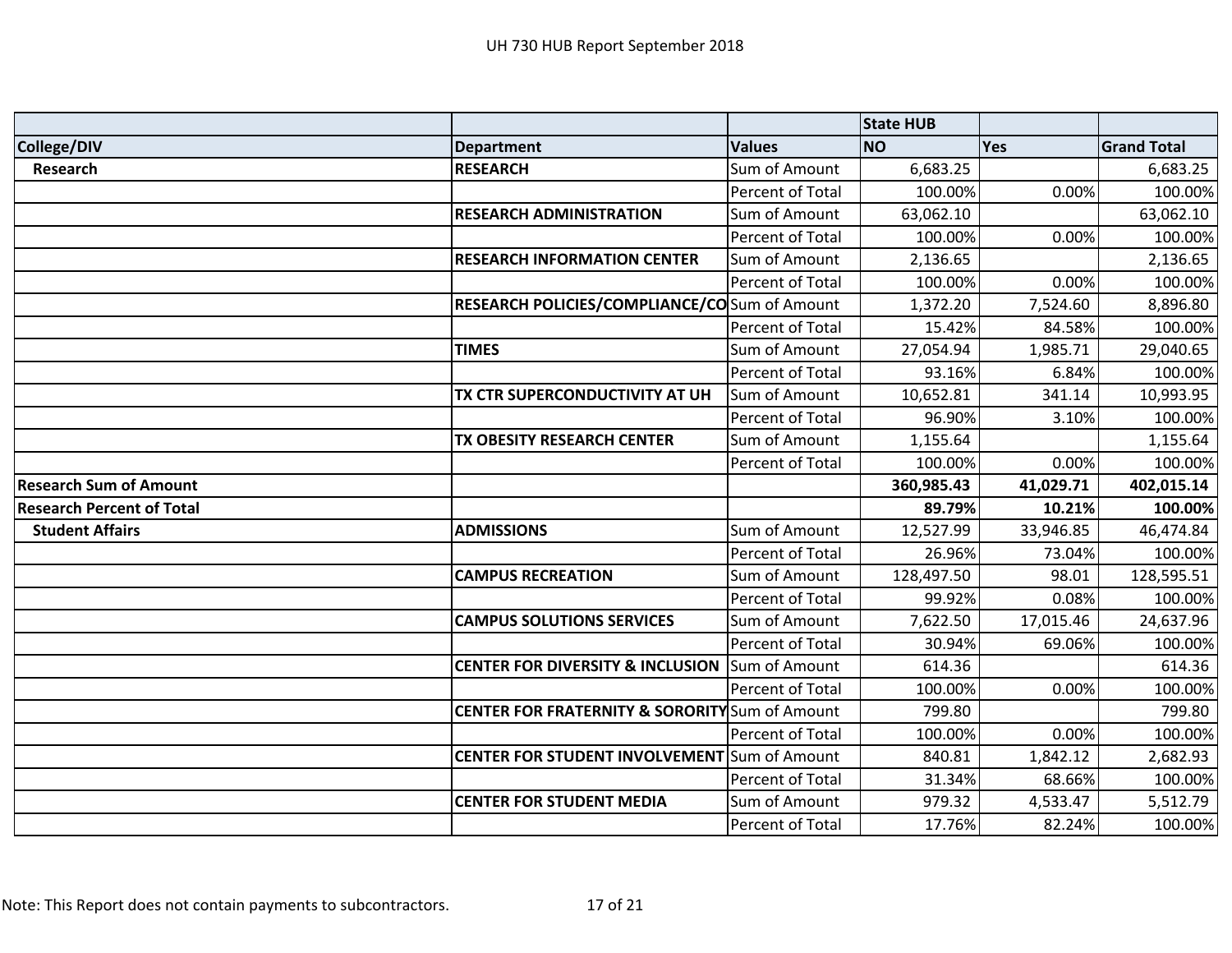|                                  |                                                           |                  | <b>State HUB</b> |           |                    |
|----------------------------------|-----------------------------------------------------------|------------------|------------------|-----------|--------------------|
| College/DIV                      | <b>Department</b>                                         | <b>Values</b>    | <b>NO</b>        | Yes       | <b>Grand Total</b> |
| <b>Research</b>                  | <b>RESEARCH</b>                                           | Sum of Amount    | 6,683.25         |           | 6,683.25           |
|                                  |                                                           | Percent of Total | 100.00%          | 0.00%     | 100.00%            |
|                                  | <b>RESEARCH ADMINISTRATION</b>                            | Sum of Amount    | 63,062.10        |           | 63,062.10          |
|                                  |                                                           | Percent of Total | 100.00%          | 0.00%     | 100.00%            |
|                                  | <b>RESEARCH INFORMATION CENTER</b>                        | Sum of Amount    | 2,136.65         |           | 2,136.65           |
|                                  |                                                           | Percent of Total | 100.00%          | 0.00%     | 100.00%            |
|                                  | <b>RESEARCH POLICIES/COMPLIANCE/CO</b> Sum of Amount      |                  | 1,372.20         | 7,524.60  | 8,896.80           |
|                                  |                                                           | Percent of Total | 15.42%           | 84.58%    | 100.00%            |
|                                  | <b>TIMES</b>                                              | Sum of Amount    | 27,054.94        | 1,985.71  | 29,040.65          |
|                                  |                                                           | Percent of Total | 93.16%           | 6.84%     | 100.00%            |
|                                  | TX CTR SUPERCONDUCTIVITY AT UH                            | Sum of Amount    | 10,652.81        | 341.14    | 10,993.95          |
|                                  |                                                           | Percent of Total | 96.90%           | 3.10%     | 100.00%            |
|                                  | TX OBESITY RESEARCH CENTER                                | Sum of Amount    | 1,155.64         |           | 1,155.64           |
|                                  |                                                           | Percent of Total | 100.00%          | 0.00%     | 100.00%            |
| <b>Research Sum of Amount</b>    |                                                           |                  | 360,985.43       | 41,029.71 | 402,015.14         |
| <b>Research Percent of Total</b> |                                                           |                  | 89.79%           | 10.21%    | 100.00%            |
| <b>Student Affairs</b>           | <b>ADMISSIONS</b>                                         | Sum of Amount    | 12,527.99        | 33,946.85 | 46,474.84          |
|                                  |                                                           | Percent of Total | 26.96%           | 73.04%    | 100.00%            |
|                                  | <b>CAMPUS RECREATION</b>                                  | Sum of Amount    | 128,497.50       | 98.01     | 128,595.51         |
|                                  |                                                           | Percent of Total | 99.92%           | 0.08%     | 100.00%            |
|                                  | <b>CAMPUS SOLUTIONS SERVICES</b>                          | Sum of Amount    | 7,622.50         | 17,015.46 | 24,637.96          |
|                                  |                                                           | Percent of Total | 30.94%           | 69.06%    | 100.00%            |
|                                  | <b>CENTER FOR DIVERSITY &amp; INCLUSION</b>               | Sum of Amount    | 614.36           |           | 614.36             |
|                                  |                                                           | Percent of Total | 100.00%          | 0.00%     | 100.00%            |
|                                  | <b>CENTER FOR FRATERNITY &amp; SORORITY</b> Sum of Amount |                  | 799.80           |           | 799.80             |
|                                  |                                                           | Percent of Total | 100.00%          | 0.00%     | 100.00%            |
|                                  | <b>CENTER FOR STUDENT INVOLVEMENT</b> Sum of Amount       |                  | 840.81           | 1,842.12  | 2,682.93           |
|                                  |                                                           | Percent of Total | 31.34%           | 68.66%    | 100.00%            |
|                                  | <b>CENTER FOR STUDENT MEDIA</b>                           | Sum of Amount    | 979.32           | 4,533.47  | 5,512.79           |
|                                  |                                                           | Percent of Total | 17.76%           | 82.24%    | 100.00%            |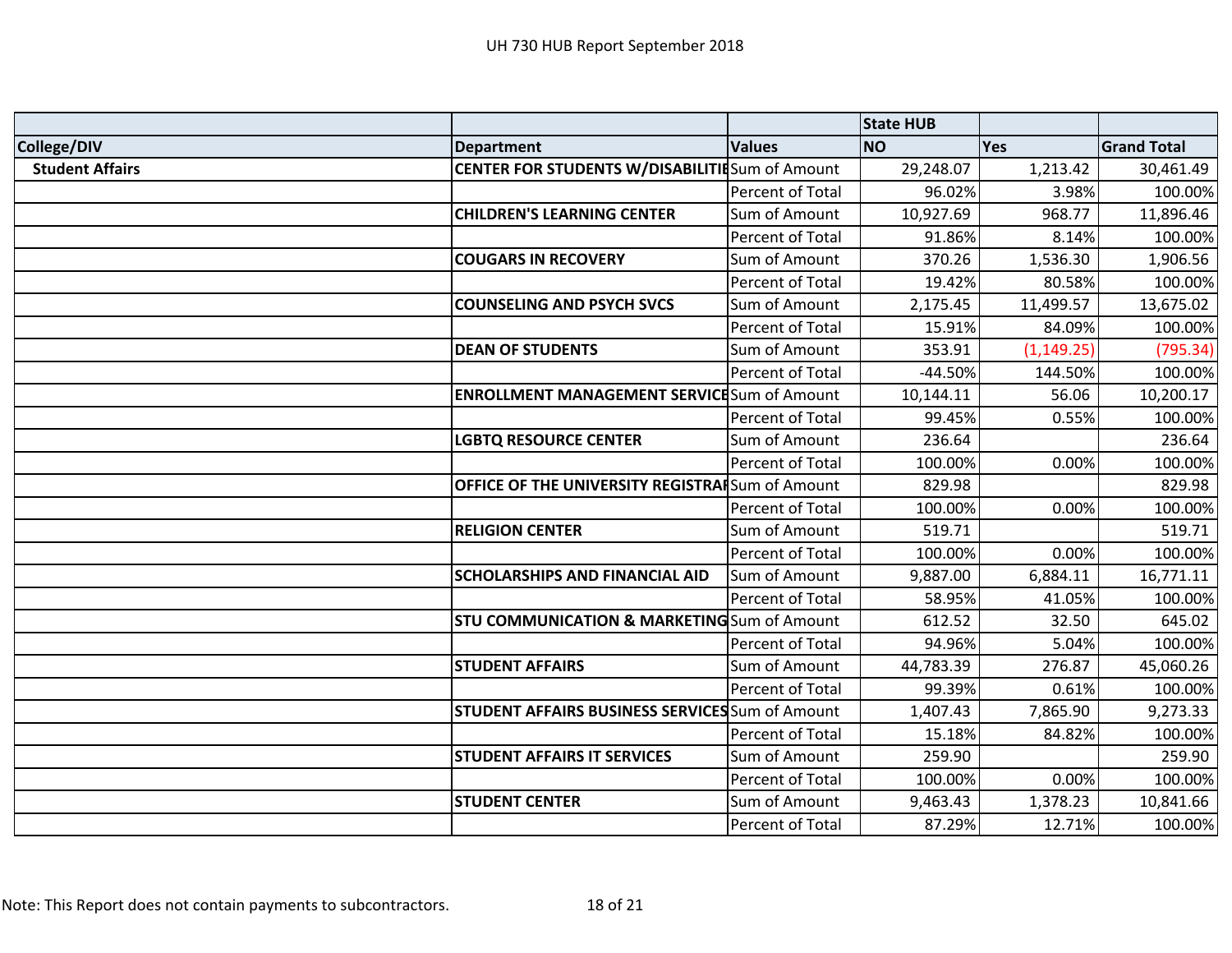|                        |                                                        |                  | <b>State HUB</b> |             |                    |
|------------------------|--------------------------------------------------------|------------------|------------------|-------------|--------------------|
| College/DIV            | <b>Department</b>                                      | <b>Values</b>    | <b>NO</b>        | <b>Yes</b>  | <b>Grand Total</b> |
| <b>Student Affairs</b> | <b>CENTER FOR STUDENTS W/DISABILITIESum of Amount</b>  |                  | 29,248.07        | 1,213.42    | 30,461.49          |
|                        |                                                        | Percent of Total | 96.02%           | 3.98%       | 100.00%            |
|                        | <b>CHILDREN'S LEARNING CENTER</b>                      | Sum of Amount    | 10,927.69        | 968.77      | 11,896.46          |
|                        |                                                        | Percent of Total | 91.86%           | 8.14%       | 100.00%            |
|                        | <b>COUGARS IN RECOVERY</b>                             | Sum of Amount    | 370.26           | 1,536.30    | 1,906.56           |
|                        |                                                        | Percent of Total | 19.42%           | 80.58%      | 100.00%            |
|                        | <b>COUNSELING AND PSYCH SVCS</b>                       | Sum of Amount    | 2,175.45         | 11,499.57   | 13,675.02          |
|                        |                                                        | Percent of Total | 15.91%           | 84.09%      | 100.00%            |
|                        | <b>DEAN OF STUDENTS</b>                                | Sum of Amount    | 353.91           | (1, 149.25) | (795.34)           |
|                        |                                                        | Percent of Total | $-44.50%$        | 144.50%     | 100.00%            |
|                        | <b>ENROLLMENT MANAGEMENT SERVICE</b> Sum of Amount     |                  | 10,144.11        | 56.06       | 10,200.17          |
|                        |                                                        | Percent of Total | 99.45%           | 0.55%       | 100.00%            |
|                        | <b>LGBTQ RESOURCE CENTER</b>                           | Sum of Amount    | 236.64           |             | 236.64             |
|                        |                                                        | Percent of Total | 100.00%          | 0.00%       | 100.00%            |
|                        | OFFICE OF THE UNIVERSITY REGISTRAISum of Amount        |                  | 829.98           |             | 829.98             |
|                        |                                                        | Percent of Total | 100.00%          | 0.00%       | 100.00%            |
|                        | <b>RELIGION CENTER</b>                                 | Sum of Amount    | 519.71           |             | 519.71             |
|                        |                                                        | Percent of Total | 100.00%          | 0.00%       | 100.00%            |
|                        | <b>SCHOLARSHIPS AND FINANCIAL AID</b>                  | Sum of Amount    | 9,887.00         | 6,884.11    | 16,771.11          |
|                        |                                                        | Percent of Total | 58.95%           | 41.05%      | 100.00%            |
|                        | <b>STU COMMUNICATION &amp; MARKETING</b> Sum of Amount |                  | 612.52           | 32.50       | 645.02             |
|                        |                                                        | Percent of Total | 94.96%           | 5.04%       | 100.00%            |
|                        | <b>STUDENT AFFAIRS</b>                                 | Sum of Amount    | 44,783.39        | 276.87      | 45,060.26          |
|                        |                                                        | Percent of Total | 99.39%           | 0.61%       | 100.00%            |
|                        | <b>STUDENT AFFAIRS BUSINESS SERVICES</b> Sum of Amount |                  | 1,407.43         | 7,865.90    | 9,273.33           |
|                        |                                                        | Percent of Total | 15.18%           | 84.82%      | 100.00%            |
|                        | <b>STUDENT AFFAIRS IT SERVICES</b>                     | Sum of Amount    | 259.90           |             | 259.90             |
|                        |                                                        | Percent of Total | 100.00%          | 0.00%       | 100.00%            |
|                        | <b>STUDENT CENTER</b>                                  | Sum of Amount    | 9,463.43         | 1,378.23    | 10,841.66          |
|                        |                                                        | Percent of Total | 87.29%           | 12.71%      | 100.00%            |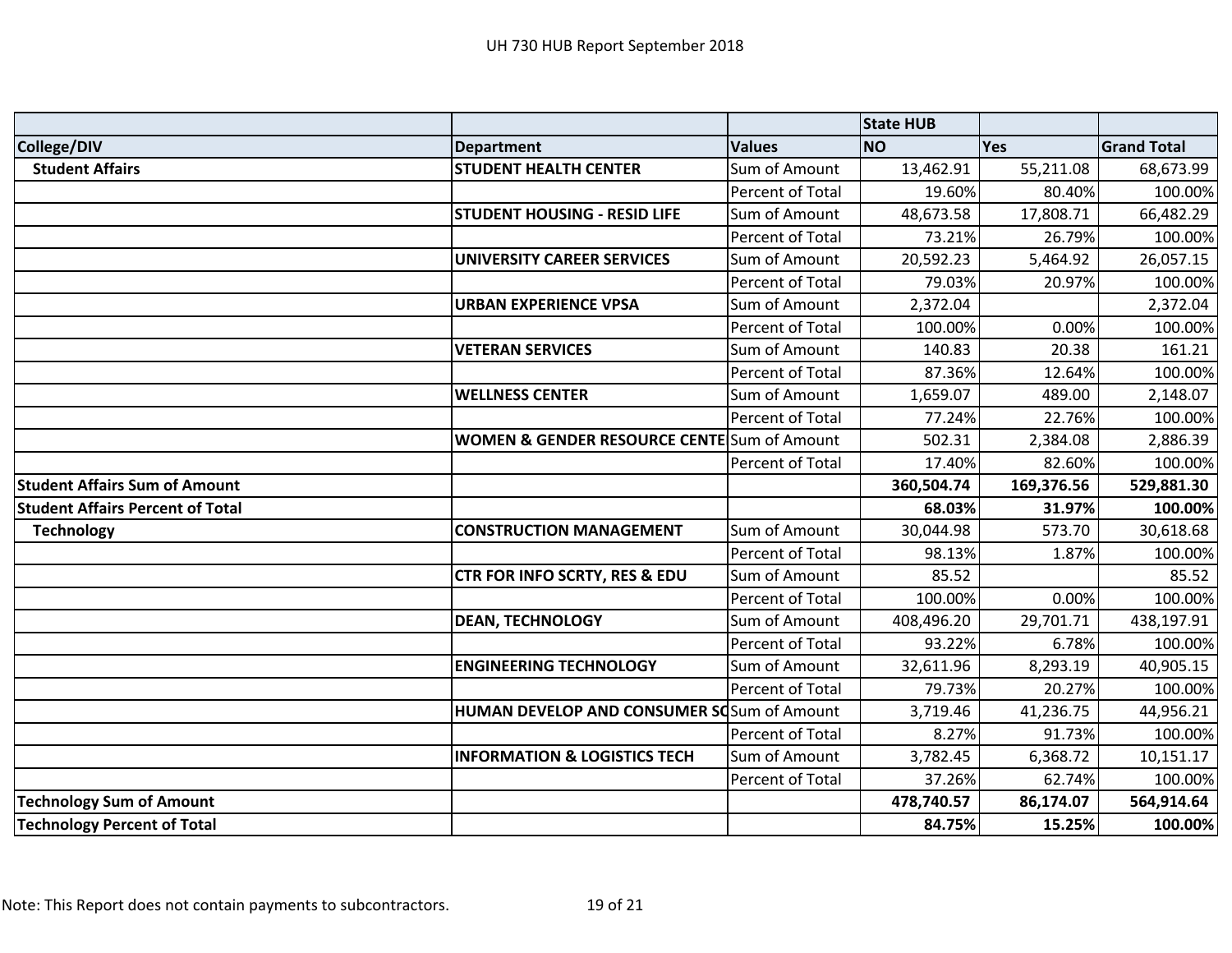|                                         |                                                        |                  | <b>State HUB</b> |            |                    |
|-----------------------------------------|--------------------------------------------------------|------------------|------------------|------------|--------------------|
| College/DIV                             | <b>Department</b>                                      | <b>Values</b>    | <b>NO</b>        | Yes        | <b>Grand Total</b> |
| <b>Student Affairs</b>                  | <b>STUDENT HEALTH CENTER</b>                           | Sum of Amount    | 13,462.91        | 55,211.08  | 68,673.99          |
|                                         |                                                        | Percent of Total | 19.60%           | 80.40%     | 100.00%            |
|                                         | <b>STUDENT HOUSING - RESID LIFE</b>                    | Sum of Amount    | 48,673.58        | 17,808.71  | 66,482.29          |
|                                         |                                                        | Percent of Total | 73.21%           | 26.79%     | 100.00%            |
|                                         | <b>UNIVERSITY CAREER SERVICES</b>                      | Sum of Amount    | 20,592.23        | 5,464.92   | 26,057.15          |
|                                         |                                                        | Percent of Total | 79.03%           | 20.97%     | 100.00%            |
|                                         | <b>URBAN EXPERIENCE VPSA</b>                           | Sum of Amount    | 2,372.04         |            | 2,372.04           |
|                                         |                                                        | Percent of Total | 100.00%          | 0.00%      | 100.00%            |
|                                         | <b>VETERAN SERVICES</b>                                | Sum of Amount    | 140.83           | 20.38      | 161.21             |
|                                         |                                                        | Percent of Total | 87.36%           | 12.64%     | 100.00%            |
|                                         | <b>WELLNESS CENTER</b>                                 | Sum of Amount    | 1,659.07         | 489.00     | 2,148.07           |
|                                         |                                                        | Percent of Total | 77.24%           | 22.76%     | 100.00%            |
|                                         | <b>WOMEN &amp; GENDER RESOURCE CENTE</b> Sum of Amount |                  | 502.31           | 2,384.08   | 2,886.39           |
|                                         |                                                        | Percent of Total | 17.40%           | 82.60%     | 100.00%            |
| <b>Student Affairs Sum of Amount</b>    |                                                        |                  | 360,504.74       | 169,376.56 | 529,881.30         |
| <b>Student Affairs Percent of Total</b> |                                                        |                  | 68.03%           | 31.97%     | 100.00%            |
| <b>Technology</b>                       | <b>CONSTRUCTION MANAGEMENT</b>                         | Sum of Amount    | 30,044.98        | 573.70     | 30,618.68          |
|                                         |                                                        | Percent of Total | 98.13%           | 1.87%      | 100.00%            |
|                                         | <b>CTR FOR INFO SCRTY, RES &amp; EDU</b>               | Sum of Amount    | 85.52            |            | 85.52              |
|                                         |                                                        | Percent of Total | 100.00%          | 0.00%      | 100.00%            |
|                                         | <b>DEAN, TECHNOLOGY</b>                                | Sum of Amount    | 408,496.20       | 29,701.71  | 438,197.91         |
|                                         |                                                        | Percent of Total | 93.22%           | 6.78%      | 100.00%            |
|                                         | <b>ENGINEERING TECHNOLOGY</b>                          | Sum of Amount    | 32,611.96        | 8,293.19   | 40,905.15          |
|                                         |                                                        | Percent of Total | 79.73%           | 20.27%     | 100.00%            |
|                                         | <b>HUMAN DEVELOP AND CONSUMER SO</b> Sum of Amount     |                  | 3,719.46         | 41,236.75  | 44,956.21          |
|                                         |                                                        | Percent of Total | 8.27%            | 91.73%     | 100.00%            |
|                                         | <b>INFORMATION &amp; LOGISTICS TECH</b>                | Sum of Amount    | 3,782.45         | 6,368.72   | 10,151.17          |
|                                         |                                                        | Percent of Total | 37.26%           | 62.74%     | 100.00%            |
| <b>Technology Sum of Amount</b>         |                                                        |                  | 478,740.57       | 86,174.07  | 564,914.64         |
| <b>Technology Percent of Total</b>      |                                                        |                  | 84.75%           | 15.25%     | 100.00%            |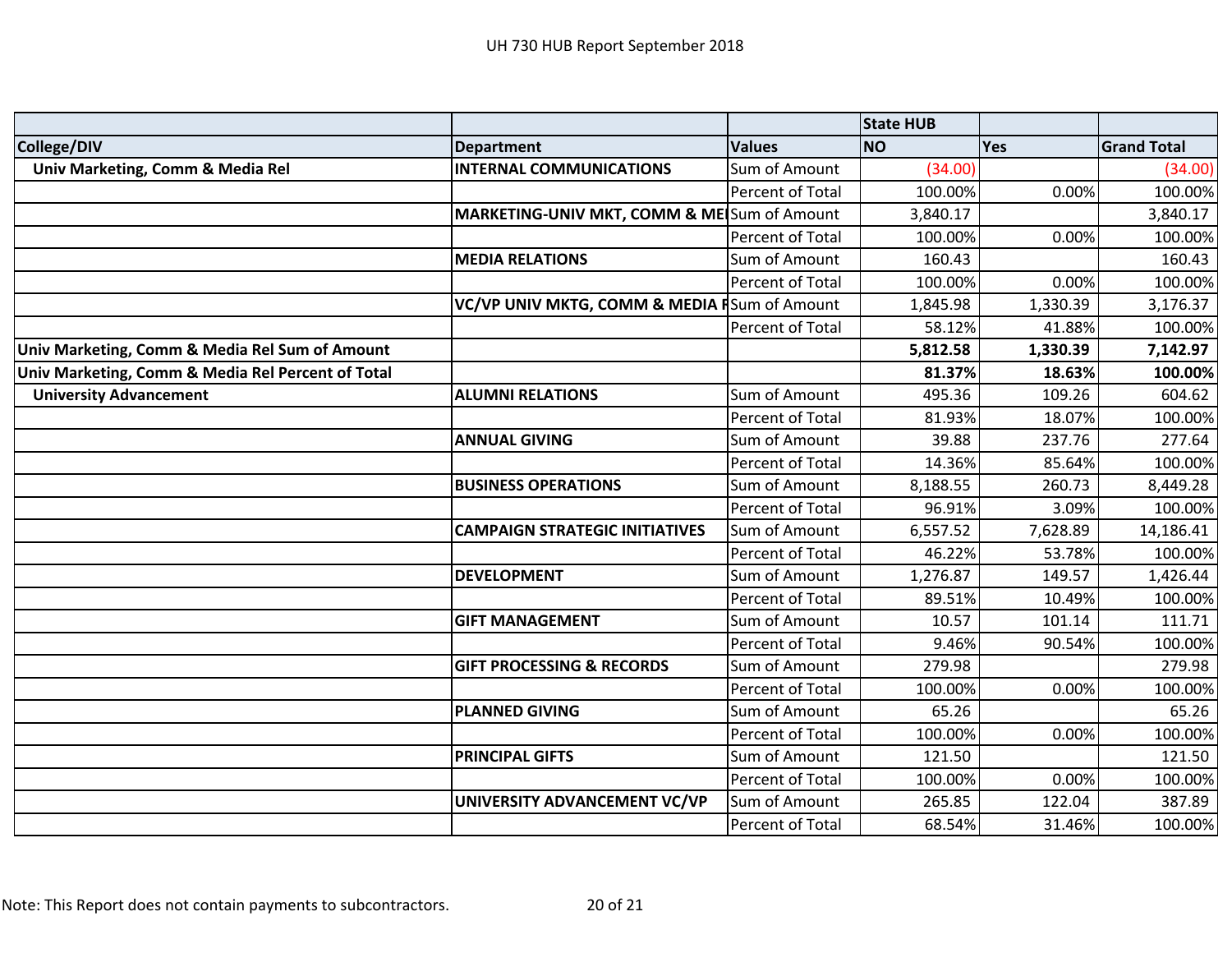|                                                   |                                              |                  | <b>State HUB</b> |          |                    |
|---------------------------------------------------|----------------------------------------------|------------------|------------------|----------|--------------------|
| College/DIV                                       | <b>Department</b>                            | <b>Values</b>    | <b>NO</b>        | Yes      | <b>Grand Total</b> |
| Univ Marketing, Comm & Media Rel                  | <b>INTERNAL COMMUNICATIONS</b>               | Sum of Amount    | (34.00)          |          | (34.00)            |
|                                                   |                                              | Percent of Total | 100.00%          | 0.00%    | 100.00%            |
|                                                   | MARKETING-UNIV MKT, COMM & MEISum of Amount  |                  | 3,840.17         |          | 3,840.17           |
|                                                   |                                              | Percent of Total | 100.00%          | 0.00%    | 100.00%            |
|                                                   | <b>MEDIA RELATIONS</b>                       | Sum of Amount    | 160.43           |          | 160.43             |
|                                                   |                                              | Percent of Total | 100.00%          | 0.00%    | 100.00%            |
|                                                   | VC/VP UNIV MKTG, COMM & MEDIA FSum of Amount |                  | 1,845.98         | 1,330.39 | 3,176.37           |
|                                                   |                                              | Percent of Total | 58.12%           | 41.88%   | 100.00%            |
| Univ Marketing, Comm & Media Rel Sum of Amount    |                                              |                  | 5,812.58         | 1,330.39 | 7,142.97           |
| Univ Marketing, Comm & Media Rel Percent of Total |                                              |                  | 81.37%           | 18.63%   | 100.00%            |
| <b>University Advancement</b>                     | <b>ALUMNI RELATIONS</b>                      | Sum of Amount    | 495.36           | 109.26   | 604.62             |
|                                                   |                                              | Percent of Total | 81.93%           | 18.07%   | 100.00%            |
|                                                   | <b>ANNUAL GIVING</b>                         | Sum of Amount    | 39.88            | 237.76   | 277.64             |
|                                                   |                                              | Percent of Total | 14.36%           | 85.64%   | 100.00%            |
|                                                   | <b>BUSINESS OPERATIONS</b>                   | Sum of Amount    | 8,188.55         | 260.73   | 8,449.28           |
|                                                   |                                              | Percent of Total | 96.91%           | 3.09%    | 100.00%            |
|                                                   | <b>CAMPAIGN STRATEGIC INITIATIVES</b>        | Sum of Amount    | 6,557.52         | 7,628.89 | 14,186.41          |
|                                                   |                                              | Percent of Total | 46.22%           | 53.78%   | 100.00%            |
|                                                   | <b>DEVELOPMENT</b>                           | Sum of Amount    | 1,276.87         | 149.57   | 1,426.44           |
|                                                   |                                              | Percent of Total | 89.51%           | 10.49%   | 100.00%            |
|                                                   | <b>GIFT MANAGEMENT</b>                       | Sum of Amount    | 10.57            | 101.14   | 111.71             |
|                                                   |                                              | Percent of Total | 9.46%            | 90.54%   | 100.00%            |
|                                                   | <b>GIFT PROCESSING &amp; RECORDS</b>         | Sum of Amount    | 279.98           |          | 279.98             |
|                                                   |                                              | Percent of Total | 100.00%          | 0.00%    | 100.00%            |
|                                                   | <b>PLANNED GIVING</b>                        | Sum of Amount    | 65.26            |          | 65.26              |
|                                                   |                                              | Percent of Total | 100.00%          | 0.00%    | 100.00%            |
|                                                   | <b>PRINCIPAL GIFTS</b>                       | Sum of Amount    | 121.50           |          | 121.50             |
|                                                   |                                              | Percent of Total | 100.00%          | 0.00%    | 100.00%            |
|                                                   | UNIVERSITY ADVANCEMENT VC/VP                 | Sum of Amount    | 265.85           | 122.04   | 387.89             |
|                                                   |                                              | Percent of Total | 68.54%           | 31.46%   | 100.00%            |